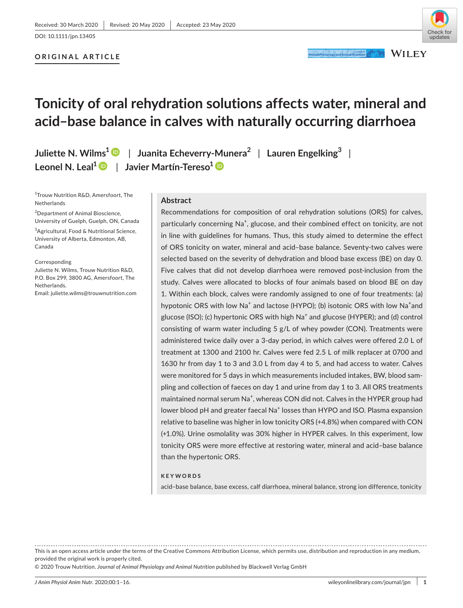## **ORIGINAL ARTICLE**



# **Tonicity of oral rehydration solutions affects water, mineral and acid–base balance in calves with naturally occurring diarrhoea**

**Juliette N. Wilms1** | **Juanita Echeverry-Munera<sup>2</sup>** | **Lauren Engelking<sup>3</sup>** | **Leonel N. Leal1** | **Javier Martín-Tereso1**

1 Trouw Nutrition R&D, Amersfoort, The Netherlands

<sup>2</sup>Department of Animal Bioscience, University of Guelph, Guelph, ON, Canada

<sup>3</sup>Agricultural, Food & Nutritional Science, University of Alberta, Edmonton, AB, Canada

Corresponding Juliette N. Wilms, Trouw Nutrition R&D, P.O. Box 299, 3800 AG, Amersfoort, The Netherlands. Email: [juliette.wilms@trouwnutrition.com](mailto:juliette.wilms@trouwnutrition.com)

## **Abstract**

Recommendations for composition of oral rehydration solutions (ORS) for calves, particularly concerning Na<sup>+</sup>, glucose, and their combined effect on tonicity, are not in line with guidelines for humans. Thus, this study aimed to determine the effect of ORS tonicity on water, mineral and acid–base balance. Seventy-two calves were selected based on the severity of dehydration and blood base excess (BE) on day 0. Five calves that did not develop diarrhoea were removed post-inclusion from the study. Calves were allocated to blocks of four animals based on blood BE on day 1. Within each block, calves were randomly assigned to one of four treatments: (a) hypotonic ORS with low Na<sup>+</sup> and lactose (HYPO); (b) isotonic ORS with low Na<sup>+</sup>and glucose (ISO); (c) hypertonic ORS with high Na<sup>+</sup> and glucose (HYPER); and (d) control consisting of warm water including 5 g/L of whey powder (CON). Treatments were administered twice daily over a 3-day period, in which calves were offered 2.0 L of treatment at 1300 and 2100 hr. Calves were fed 2.5 L of milk replacer at 0700 and 1630 hr from day 1 to 3 and 3.0 L from day 4 to 5, and had access to water. Calves were monitored for 5 days in which measurements included intakes, BW, blood sampling and collection of faeces on day 1 and urine from day 1 to 3. All ORS treatments maintained normal serum Na<sup>+</sup>, whereas CON did not. Calves in the HYPER group had lower blood pH and greater faecal Na<sup>+</sup> losses than HYPO and ISO. Plasma expansion relative to baseline was higher in low tonicity ORS (+4.8%) when compared with CON (+1.0%). Urine osmolality was 30% higher in HYPER calves. In this experiment, low tonicity ORS were more effective at restoring water, mineral and acid–base balance than the hypertonic ORS.

#### **KEYWORDS**

acid–base balance, base excess, calf diarrhoea, mineral balance, strong ion difference, tonicity

This is an open access article under the terms of the [Creative Commons Attribution](http://creativecommons.org/licenses/by/4.0/) License, which permits use, distribution and reproduction in any medium, provided the original work is properly cited.

© 2020 Trouw Nutrition. *Journal of Animal Physiology and Animal Nutrition* published by Blackwell Verlag GmbH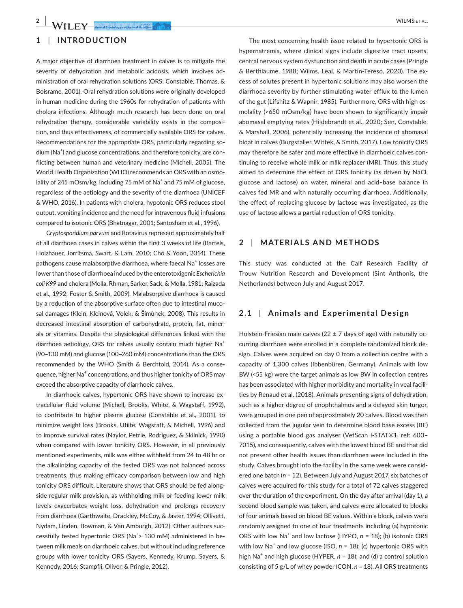# **1** | **INTRODUCTION**

A major objective of diarrhoea treatment in calves is to mitigate the severity of dehydration and metabolic acidosis, which involves administration of oral rehydration solutions (ORS; Constable, Thomas, & Boisrame, 2001). Oral rehydration solutions were originally developed in human medicine during the 1960s for rehydration of patients with cholera infections. Although much research has been done on oral rehydration therapy, considerable variability exists in the composition, and thus effectiveness, of commercially available ORS for calves. Recommendations for the appropriate ORS, particularly regarding sodium (Na<sup>+</sup>) and glucose concentrations, and therefore tonicity, are conflicting between human and veterinary medicine (Michell, 2005). The World Health Organization (WHO) recommends an ORS with an osmolality of 245 mOsm/kg, including 75 mM of Na<sup>+</sup> and 75 mM of glucose, regardless of the aetiology and the severity of the diarrhoea (UNICEF & WHO, 2016). In patients with cholera, hypotonic ORS reduces stool output, vomiting incidence and the need for intravenous fluid infusions compared to isotonic ORS (Bhatnagar, 2001; Santosham et al., 1996).

*Cryptosporidium parvum* and Rotavirus represent approximately half of all diarrhoea cases in calves within the first 3 weeks of life (Bartels, Holzhauer, Jorritsma, Swart, & Lam, 2010; Cho & Yoon, 2014). These pathogens cause malabsorptive diarrhoea, where faecal Na<sup>+</sup> losses are lower than those of diarrhoea induced by the enterotoxigenic *Escherichia coli K99* and cholera (Molla, Rhman, Sarker, Sack, & Molla, 1981; Raizada et al., 1992; Foster & Smith, 2009). Malabsorptive diarrhoea is caused by a reduction of the absorptive surface often due to intestinal mucosal damages (Klein, Kleinová, Volek, & Šimůnek, 2008). This results in decreased intestinal absorption of carbohydrate, protein, fat, minerals or vitamins. Despite the physiological differences linked with the diarrhoea aetiology, ORS for calves usually contain much higher Na<sup>+</sup> (90–130 mM) and glucose (100–260 mM) concentrations than the ORS recommended by the WHO (Smith & Berchtold, 2014). As a consequence, higher Na<sup>+</sup> concentrations, and thus higher tonicity of ORS may exceed the absorptive capacity of diarrhoeic calves.

In diarrhoeic calves, hypertonic ORS have shown to increase extracellular fluid volume (Michell, Brooks, White, & Wagstaff, 1992), to contribute to higher plasma glucose (Constable et al., 2001), to minimize weight loss (Brooks, Utiite, Wagstaff, & Michell, 1996) and to improve survival rates (Naylor, Petrie, Rodriguez, & Skilnick, 1990) when compared with lower tonicity ORS. However, in all previously mentioned experiments, milk was either withheld from 24 to 48 hr or the alkalinizing capacity of the tested ORS was not balanced across treatments, thus making efficacy comparison between low and high tonicity ORS difficult. Literature shows that ORS should be fed alongside regular milk provision, as withholding milk or feeding lower milk levels exacerbates weight loss, dehydration and prolongs recovery from diarrhoea (Garthwaite, Drackley, McCoy, & Jaster, 1994; Ollivett, Nydam, Linden, Bowman, & Van Amburgh, 2012). Other authors successfully tested hypertonic ORS (Na<sup>+</sup>> 130 mM) administered in between milk meals on diarrhoeic calves, but without including reference groups with lower tonicity ORS (Sayers, Kennedy, Krump, Sayers, & Kennedy, 2016; Stampfli, Oliver, & Pringle, 2012).

The most concerning health issue related to hypertonic ORS is hypernatremia, where clinical signs include digestive tract upsets, central nervous system dysfunction and death in acute cases (Pringle & Berthiaume, 1988; Wilms, Leal, & Martín-Tereso, 2020). The excess of solutes present in hypertonic solutions may also worsen the diarrhoea severity by further stimulating water efflux to the lumen of the gut (Lifshitz & Wapnir, 1985). Furthermore, ORS with high osmolality (>650 mOsm/kg) have been shown to significantly impair abomasal emptying rates (Hildebrandt et al., 2020; Sen, Constable, & Marshall, 2006), potentially increasing the incidence of abomasal bloat in calves (Burgstaller, Wittek, & Smith, 2017). Low tonicity ORS may therefore be safer and more effective in diarrhoeic calves continuing to receive whole milk or milk replacer (MR). Thus, this study aimed to determine the effect of ORS tonicity (as driven by NaCl, glucose and lactose) on water, mineral and acid–base balance in calves fed MR and with naturally occurring diarrhoea. Additionally, the effect of replacing glucose by lactose was investigated, as the use of lactose allows a partial reduction of ORS tonicity.

## **2** | **MATERIALS AND METHODS**

This study was conducted at the Calf Research Facility of Trouw Nutrition Research and Development (Sint Anthonis, the Netherlands) between July and August 2017.

## **2.1** | **Animals and Experimental Design**

Holstein-Friesian male calves (22  $\pm$  7 days of age) with naturally occurring diarrhoea were enrolled in a complete randomized block design. Calves were acquired on day 0 from a collection centre with a capacity of 1,300 calves (Ibbenbüren, Germany). Animals with low BW (<55 kg) were the target animals as low BW in collection centres has been associated with higher morbidity and mortality in veal facilities by Renaud et al. (2018). Animals presenting signs of dehydration, such as a higher degree of enophthalmos and a delayed skin turgor, were grouped in one pen of approximately 20 calves. Blood was then collected from the jugular vein to determine blood base excess (BE) using a portable blood gas analyser (VetScan I-STAT®1, ref: 600– 7015), and consequently, calves with the lowest blood BE and that did not present other health issues than diarrhoea were included in the study. Calves brought into the facility in the same week were considered one batch (*n* = 12). Between July and August 2017, six batches of calves were acquired for this study for a total of 72 calves staggered over the duration of the experiment. On the day after arrival (day 1), a second blood sample was taken, and calves were allocated to blocks of four animals based on blood BE values. Within a block, calves were randomly assigned to one of four treatments including (a) hypotonic ORS with low Na<sup>+</sup> and low lactose (HYPO,  $n = 18$ ); (b) isotonic ORS with low  $Na<sup>+</sup>$  and low glucose (ISO,  $n = 18$ ); (c) hypertonic ORS with high Na<sup>+</sup> and high glucose (HYPER,  $n = 18$ ); and (d) a control solution consisting of 5 g/L of whey powder (CON, *n* = 18). All ORS treatments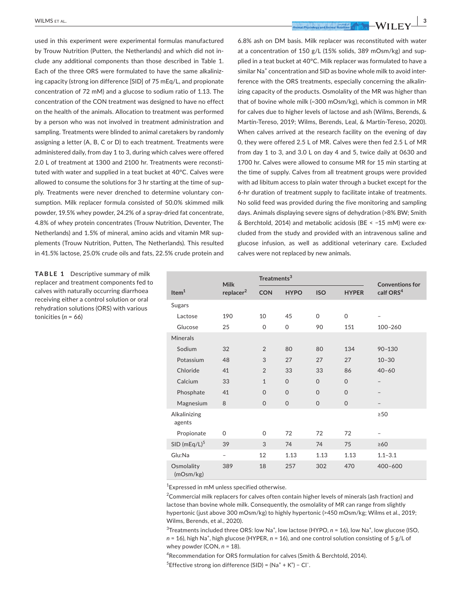used in this experiment were experimental formulas manufactured by Trouw Nutrition (Putten, the Netherlands) and which did not include any additional components than those described in Table 1. Each of the three ORS were formulated to have the same alkalinizing capacity (strong ion difference [SID] of 75 mEq/L, and propionate concentration of 72 mM) and a glucose to sodium ratio of 1.13. The concentration of the CON treatment was designed to have no effect on the health of the animals. Allocation to treatment was performed by a person who was not involved in treatment administration and sampling. Treatments were blinded to animal caretakers by randomly assigning a letter (A, B, C or D) to each treatment. Treatments were administered daily, from day 1 to 3, during which calves were offered 2.0 L of treatment at 1300 and 2100 hr. Treatments were reconstituted with water and supplied in a teat bucket at 40°C. Calves were allowed to consume the solutions for 3 hr starting at the time of supply. Treatments were never drenched to determine voluntary consumption. Milk replacer formula consisted of 50.0% skimmed milk powder, 19.5% whey powder, 24.2% of a spray-dried fat concentrate, 4.8% of whey protein concentrates (Trouw Nutrition, Deventer, The Netherlands) and 1.5% of mineral, amino acids and vitamin MR supplements (Trouw Nutrition, Putten, The Netherlands). This resulted in 41.5% lactose, 25.0% crude oils and fats, 22.5% crude protein and

**TABLE 1** Descriptive summary of milk replacer and treatment components fed to calves with naturally occurring diarrhoea receiving either a control solution or oral rehydration solutions (ORS) with various tonicities (*n* = 66)

6.8% ash on DM basis. Milk replacer was reconstituted with water at a concentration of 150 g/L (15% solids, 389 mOsm/kg) and supplied in a teat bucket at 40°C. Milk replacer was formulated to have a similar Na<sup>+</sup> concentration and SID as bovine whole milk to avoid interference with the ORS treatments, especially concerning the alkalinizing capacity of the products. Osmolality of the MR was higher than that of bovine whole milk (~300 mOsm/kg), which is common in MR for calves due to higher levels of lactose and ash (Wilms, Berends, & Martín-Tereso, 2019; Wilms, Berends, Leal, & Martín-Tereso, 2020). When calves arrived at the research facility on the evening of day 0, they were offered 2.5 L of MR. Calves were then fed 2.5 L of MR from day 1 to 3, and 3.0 L on day 4 and 5, twice daily at 0630 and 1700 hr. Calves were allowed to consume MR for 15 min starting at the time of supply. Calves from all treatment groups were provided with ad libitum access to plain water through a bucket except for the 6-hr duration of treatment supply to facilitate intake of treatments. No solid feed was provided during the five monitoring and sampling days. Animals displaying severe signs of dehydration (>8% BW; Smith & Berchtold, 2014) and metabolic acidosis (BE < −15 mM) were excluded from the study and provided with an intravenous saline and glucose infusion, as well as additional veterinary care. Excluded calves were not replaced by new animals.

|                          | <b>Milk</b>           | Treatments <sup>3</sup> |             | <b>Conventions for</b> |              |                       |
|--------------------------|-----------------------|-------------------------|-------------|------------------------|--------------|-----------------------|
| Item <sup>1</sup>        | replacer <sup>2</sup> | <b>CON</b>              | <b>HYPO</b> | <b>ISO</b>             | <b>HYPER</b> | calf ORS <sup>4</sup> |
| Sugars                   |                       |                         |             |                        |              |                       |
| Lactose                  | 190                   | 10                      | 45          | $\mathsf{O}$           | 0            |                       |
| Glucose                  | 25                    | 0                       | 0           | 90                     | 151          | 100-260               |
| <b>Minerals</b>          |                       |                         |             |                        |              |                       |
| Sodium                   | 32                    | $\overline{2}$          | 80          | 80                     | 134          | $90 - 130$            |
| Potassium                | 48                    | 3                       | 27          | 27                     | 27           | $10 - 30$             |
| Chloride                 | 41                    | $\overline{2}$          | 33          | 33                     | 86           | $40 - 60$             |
| Calcium                  | 33                    | $\mathbf{1}$            | $\mathbf 0$ | $\overline{0}$         | $\mathbf 0$  | -                     |
| Phosphate                | 41                    | $\mathbf 0$             | $\mathbf 0$ | $\Omega$               | $\Omega$     |                       |
| Magnesium                | 8                     | $\mathbf{O}$            | $\mathbf 0$ | $\overline{O}$         | $\mathbf 0$  | -                     |
| Alkalinizing<br>agents   |                       |                         |             |                        |              | $\geq$ 50             |
| Propionate               | 0                     | $\Omega$                | 72          | 72                     | 72           |                       |
| SID (mEq/L) <sup>5</sup> | 39                    | 3                       | 74          | 74                     | 75           | $\geq 60$             |
| Glu:Na                   | $\overline{a}$        | 12                      | 1.13        | 1.13                   | 1.13         | $1.1 - 3.1$           |
| Osmolality<br>(mOsm/kg)  | 389                   | 18                      | 257         | 302                    | 470          | $400 - 600$           |

<sup>1</sup> Expressed in mM unless specified otherwise.

 $2$ Commercial milk replacers for calves often contain higher levels of minerals (ash fraction) and lactose than bovine whole milk. Consequently, the osmolality of MR can range from slightly hypertonic (just above 300 mOsm/kg) to highly hypertonic (>450 mOsm/kg; Wilms et al., 2019; Wilms, Berends, et al., 2020).

 ${}^{3}$ Treatments included three ORS: low Na<sup>+</sup>, low lactose (HYPO,  $n = 16$ ), low Na<sup>+</sup>, low glucose (ISO, *n* = 16), high Na<sup>+</sup>, high glucose (HYPER, *n* = 16), and one control solution consisting of 5 g/L of whey powder (CON, *n* = 18).

4 Recommendation for ORS formulation for calves (Smith & Berchtold, 2014).

 $5$ Effective strong ion difference (SID) = (Na<sup>+</sup> + K<sup>+</sup>) – Cl<sup>-</sup>.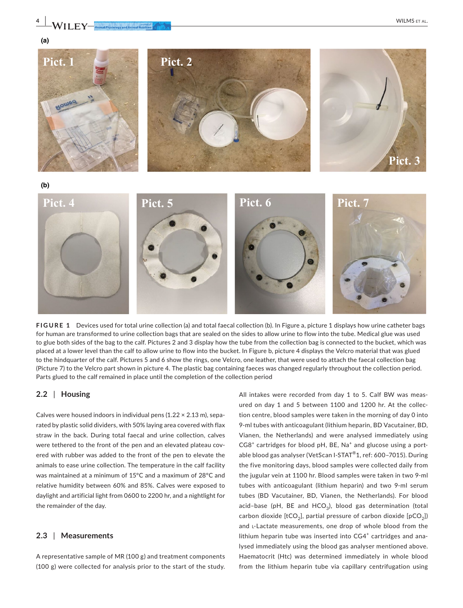

**FIGURE 1** Devices used for total urine collection (a) and total faecal collection (b). In Figure a, picture 1 displays how urine catheter bags for human are transformed to urine collection bags that are sealed on the sides to allow urine to flow into the tube. Medical glue was used to glue both sides of the bag to the calf. Pictures 2 and 3 display how the tube from the collection bag is connected to the bucket, which was placed at a lower level than the calf to allow urine to flow into the bucket. In Figure b, picture 4 displays the Velcro material that was glued to the hindquarter of the calf. Pictures 5 and 6 show the rings, one Velcro, one leather, that were used to attach the faecal collection bag (Picture 7) to the Velcro part shown in picture 4. The plastic bag containing faeces was changed regularly throughout the collection period. Parts glued to the calf remained in place until the completion of the collection period

## **2.2** | **Housing**

Calves were housed indoors in individual pens  $(1.22 \times 2.13 \text{ m})$ , separated by plastic solid dividers, with 50% laying area covered with flax straw in the back. During total faecal and urine collection, calves were tethered to the front of the pen and an elevated plateau covered with rubber was added to the front of the pen to elevate the animals to ease urine collection. The temperature in the calf facility was maintained at a minimum of 15°C and a maximum of 28°C and relative humidity between 60% and 85%. Calves were exposed to daylight and artificial light from 0600 to 2200 hr, and a nightlight for the remainder of the day.

## **2.3** | **Measurements**

A representative sample of MR (100 g) and treatment components (100 g) were collected for analysis prior to the start of the study.

All intakes were recorded from day 1 to 5. Calf BW was measured on day 1 and 5 between 1100 and 1200 hr. At the collection centre, blood samples were taken in the morning of day 0 into 9-ml tubes with anticoagulant (lithium heparin, BD Vacutainer, BD, Vianen, the Netherlands) and were analysed immediately using CG8<sup>+</sup> cartridges for blood pH, BE, Na<sup>+</sup> and glucose using a portable blood gas analyser (VetScan I-STAT®1, ref: 600–7015). During the five monitoring days, blood samples were collected daily from the jugular vein at 1100 hr. Blood samples were taken in two 9-ml tubes with anticoagulant (lithium heparin) and two 9-ml serum tubes (BD Vacutainer, BD, Vianen, the Netherlands). For blood acid-base (pH, BE and HCO<sub>3</sub>), blood gas determination (total carbon dioxide  $[tCO<sub>2</sub>]$ , partial pressure of carbon dioxide  $[pCO<sub>2</sub>]$ ) and L-Lactate measurements, one drop of whole blood from the lithium heparin tube was inserted into CG4<sup>+</sup> cartridges and analysed immediately using the blood gas analyser mentioned above. Haematocrit (Htc) was determined immediately in whole blood from the lithium heparin tube via capillary centrifugation using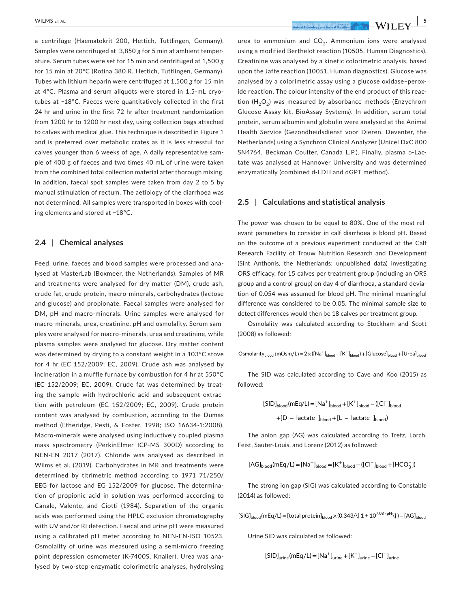a centrifuge (Haematokrit 200, Hettich, Tuttlingen, Germany). Samples were centrifuged at 3,850 *g* for 5 min at ambient temperature. Serum tubes were set for 15 min and centrifuged at 1,500 *g* for 15 min at 20°C (Rotina 380 R, Hettich, Tuttlingen, Germany). Tubes with lithium heparin were centrifuged at 1,500 *g* for 15 min at 4°C. Plasma and serum aliquots were stored in 1.5-mL cryotubes at −18°C. Faeces were quantitatively collected in the first 24 hr and urine in the first 72 hr after treatment randomization from 1200 hr to 1200 hr next day, using collection bags attached to calves with medical glue. This technique is described in Figure 1 and is preferred over metabolic crates as it is less stressful for calves younger than 6 weeks of age. A daily representative sample of 400 g of faeces and two times 40 mL of urine were taken from the combined total collection material after thorough mixing. In addition, faecal spot samples were taken from day 2 to 5 by manual stimulation of rectum. The aetiology of the diarrhoea was not determined. All samples were transported in boxes with cooling elements and stored at −18°C.

## **2.4** | **Chemical analyses**

Feed, urine, faeces and blood samples were processed and analysed at MasterLab (Boxmeer, the Netherlands). Samples of MR and treatments were analysed for dry matter (DM), crude ash, crude fat, crude protein, macro-minerals, carbohydrates (lactose and glucose) and propionate. Faecal samples were analysed for DM, pH and macro-minerals. Urine samples were analysed for macro-minerals, urea, creatinine, pH and osmolality. Serum samples were analysed for macro-minerals, urea and creatinine, while plasma samples were analysed for glucose. Dry matter content was determined by drying to a constant weight in a 103°C stove for 4 hr (EC 152/2009; EC, 2009). Crude ash was analysed by incineration in a muffle furnace by combustion for 4 hr at 550°C (EC 152/2009; EC, 2009). Crude fat was determined by treating the sample with hydrochloric acid and subsequent extraction with petroleum (EC 152/2009; EC, 2009). Crude protein content was analysed by combustion, according to the Dumas method (Etheridge, Pesti, & Foster, 1998; ISO 16634-1:2008). Macro-minerals were analysed using inductively coupled plasma mass spectrometry (PerkinElmer ICP-MS 300D) according to NEN-EN 2017 (2017). Chloride was analysed as described in Wilms et al. (2019). Carbohydrates in MR and treatments were determined by titrimetric method according to 1971 71/250/ EEG for lactose and EG 152/2009 for glucose. The determination of propionic acid in solution was performed according to Canale, Valente, and Ciotti (1984). Separation of the organic acids was performed using the HPLC exclusion chromatography with UV and/or RI detection. Faecal and urine pH were measured using a calibrated pH meter according to NEN-EN-ISO 10523. Osmolality of urine was measured using a semi-micro freezing point depression osmometer (K-7400S, Knalier). Urea was analysed by two-step enzymatic colorimetric analyses, hydrolysing

urea to ammonium and  $CO<sub>2</sub>$ . Ammonium ions were analysed using a modified Berthelot reaction (10505, Human Diagnostics). Creatinine was analysed by a kinetic colorimetric analysis, based upon the Jaffe reaction (10051, Human diagnostics). Glucose was analysed by a colorimetric assay using a glucose oxidase–peroxide reaction. The colour intensity of the end product of this reaction  $(H<sub>2</sub>O<sub>2</sub>)$  was measured by absorbance methods (Enzychrom Glucose Assay kit, BioAssay Systems). In addition, serum total protein, serum albumin and globulin were analysed at the Animal Health Service (Gezondheidsdienst voor Dieren, Deventer, the Netherlands) using a Synchron Clinical Analyzer (Unicel DxC 800 SN4764, Beckman Coulter, Canada L.P.). Finally, plasma D-Lactate was analysed at Hannover University and was determined enzymatically (combined d-LDH and dGPT method).

#### **2.5** | **Calculations and statistical analysis**

The power was chosen to be equal to 80%. One of the most relevant parameters to consider in calf diarrhoea is blood pH. Based on the outcome of a previous experiment conducted at the Calf Research Facility of Trouw Nutrition Research and Development (Sint Anthonis, the Netherlands; unpublished data) investigating ORS efficacy, for 15 calves per treatment group (including an ORS group and a control group) on day 4 of diarrhoea, a standard deviation of 0.054 was assumed for blood pH. The minimal meaningful difference was considered to be 0.05. The minimal sample size to detect differences would then be 18 calves per treatment group.

Osmolality was calculated according to Stockham and Scott (2008) as followed:

Osmolarity<sub>blood</sub> (mOsm/L)=2×([Na<sup>+</sup>]<sub>blood</sub> + [K<sup>+</sup>]<sub>blood</sub>) + [Glucose]<sub>blood</sub> + [Urea]<sub>blood</sub>

The SID was calculated according to Cave and Koo (2015) as followed:

$$
[SID]_{blood} (mEq/L) = [Na^{+}]_{blood} + [K^{+}]_{blood} - ([Cl^{-}]_{blood}
$$

$$
+[D - lactate^{-}]_{blood} + [L - lactate^{-}]_{blood})
$$

The anion gap (AG) was calculated according to Trefz, Lorch, Feist, Sauter-Louis, and Lorenz (2012) as followed:

$$
[AG]_{blood} (mEq/L) = [Na^{+}]_{blood} = [K^{+}]_{blood} - ([Cl^{-}]_{blood} + [HCO_{3}^{-}] )
$$

The strong ion gap (SIG) was calculated according to Constable (2014) as followed:

 $[SIG]_{blood}$ (mEq/L) = [total protein] $_{blood}$  × (0.343/ $\{1 + 10^{7.08 - pH}$ ) $)$  – [AG] $_{blood}$ 

Urine SID was calculated as followed:

$$
[SID]_{urine}(mEq/L) = [Na^+]_{urine} + [K^+]_{urine} - [Cl^-]_{urine}
$$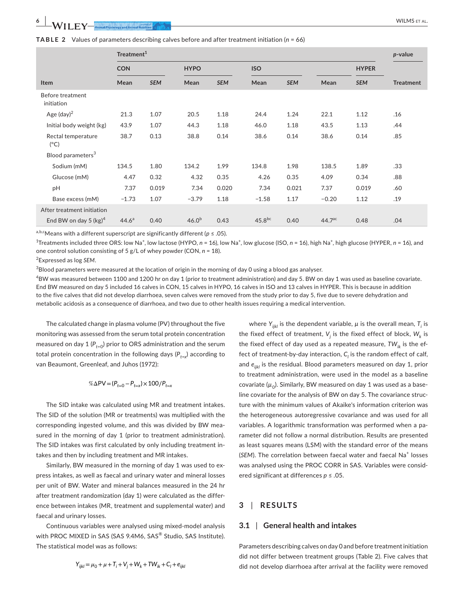**TABLE 2** Values of parameters describing calves before and after treatment initiation (*n* = 66)

|                                     |            | Treatment <sup>1</sup> |             |            |         |            |         |              |                  |  |  |  |  |
|-------------------------------------|------------|------------------------|-------------|------------|---------|------------|---------|--------------|------------------|--|--|--|--|
|                                     | <b>CON</b> |                        | <b>HYPO</b> |            |         | <b>ISO</b> |         | <b>HYPER</b> |                  |  |  |  |  |
| <b>Item</b>                         | Mean       | <b>SEM</b>             | Mean        | <b>SEM</b> | Mean    | <b>SEM</b> | Mean    | <b>SEM</b>   | <b>Treatment</b> |  |  |  |  |
| Before treatment<br>initiation      |            |                        |             |            |         |            |         |              |                  |  |  |  |  |
| Age $(day)^2$                       | 21.3       | 1.07                   | 20.5        | 1.18       | 24.4    | 1.24       | 22.1    | 1.12         | .16              |  |  |  |  |
| Initial body weight (kg)            | 43.9       | 1.07                   | 44.3        | 1.18       | 46.0    | 1.18       | 43.5    | 1.13         | .44              |  |  |  |  |
| Rectal temperature<br>$(^{\circ}C)$ | 38.7       | 0.13                   | 38.8        | 0.14       | 38.6    | 0.14       | 38.6    | 0.14         | .85              |  |  |  |  |
| Blood parameters <sup>3</sup>       |            |                        |             |            |         |            |         |              |                  |  |  |  |  |
| Sodium (mM)                         | 134.5      | 1.80                   | 134.2       | 1.99       | 134.8   | 1.98       | 138.5   | 1.89         | .33              |  |  |  |  |
| Glucose (mM)                        | 4.47       | 0.32                   | 4.32        | 0.35       | 4.26    | 0.35       | 4.09    | 0.34         | .88              |  |  |  |  |
| pH                                  | 7.37       | 0.019                  | 7.34        | 0.020      | 7.34    | 0.021      | 7.37    | 0.019        | .60              |  |  |  |  |
| Base excess (mM)                    | $-1.73$    | 1.07                   | $-3.79$     | 1.18       | $-1.58$ | 1.17       | $-0.20$ | 1.12         | .19              |  |  |  |  |

a,b,cMeans with a different superscript are significantly different (*p* ≤ .05).

<sup>1</sup>Treatments included three ORS: low Na<sup>+</sup>, low lactose (HYPO, *n* = 16), low Na<sup>+</sup>, low glucose (ISO, *n* = 16), high Na<sup>+</sup>, high glucose (HYPER, *n* = 16), and one control solution consisting of 5 g/L of whey powder (CON, *n* = 18).

End BW on day 5 (kg)<sup>4</sup> 44.6<sup>a</sup> 0.40 46.0<sup>b</sup> 0.43 45.8<sup>bc</sup> 0.40 44.7<sup>ac</sup> 0.48 0.4

2 Expressed as log *SEM*.

After treatment initiation

**Ite** 

 ${}^{3}$ Blood parameters were measured at the location of origin in the morning of day 0 using a blood gas analyser.

 $^4$ BW was measured between 1100 and 1200 hr on day 1 (prior to treatment administration) and day 5. BW on day 1 was used as baseline covariate. End BW measured on day 5 included 16 calves in CON, 15 calves in HYPO, 16 calves in ISO and 13 calves in HYPER. This is because in addition to the five calves that did not develop diarrhoea, seven calves were removed from the study prior to day 5, five due to severe dehydration and metabolic acidosis as a consequence of diarrhoea, and two due to other health issues requiring a medical intervention.

The calculated change in plasma volume (PV) throughout the five monitoring was assessed from the serum total protein concentration measured on day 1  $(P_{t=0})$  prior to ORS administration and the serum total protein concentration in the following days (P<sub>t=x</sub>) according to van Beaumont, Greenleaf, and Juhos (1972):

$$
\% \Delta \text{PV} = (P_{t=0} - P_{t=x}) \times 100 / P_{t=x}
$$

The SID intake was calculated using MR and treatment intakes. The SID of the solution (MR or treatments) was multiplied with the corresponding ingested volume, and this was divided by BW measured in the morning of day 1 (prior to treatment administration). The SID intakes was first calculated by only including treatment intakes and then by including treatment and MR intakes.

Similarly, BW measured in the morning of day 1 was used to express intakes, as well as faecal and urinary water and mineral losses per unit of BW. Water and mineral balances measured in the 24 hr after treatment randomization (day 1) were calculated as the difference between intakes (MR, treatment and supplemental water) and faecal and urinary losses.

Continuous variables were analysed using mixed-model analysis with PROC MIXED in SAS (SAS 9.4M6, SAS® Studio, SAS Institute). The statistical model was as follows:

$$
Y_{ijkl} = \mu_0 + \mu + T_i + V_j + W_k + TW_{ik} + C_l + e_{ijkl}
$$

where  $Y_{ijkl}$  is the dependent variable,  $\mu$  is the overall mean,  $T_i$  is the fixed effect of treatment, V<sub>j</sub> is the fixed effect of block, W<sub>k</sub> is the fixed effect of day used as a repeated measure,  $TW_{ik}$  is the effect of treatment-by-day interaction,  $C_{\mathfrak l}$  is the random effect of calf, and *eijkl* is the residual. Blood parameters measured on day 1, prior to treatment administration, were used in the model as a baseline covariate ( $\mu$ <sub>0</sub>). Similarly, BW measured on day 1 was used as a baseline covariate for the analysis of BW on day 5. The covariance structure with the minimum values of Akaike's information criterion was the heterogeneous autoregressive covariance and was used for all variables. A logarithmic transformation was performed when a parameter did not follow a normal distribution. Results are presented as least squares means (LSM) with the standard error of the means (SEM). The correlation between faecal water and faecal Na<sup>+</sup> losses was analysed using the PROC CORR in SAS. Variables were considered significant at differences *p* ≤ .05.

## **3** | **RESULTS**

## **3.1** | **General health and intakes**

Parameters describing calves on day 0 and before treatment initiation did not differ between treatment groups (Table 2). Five calves that did not develop diarrhoea after arrival at the facility were removed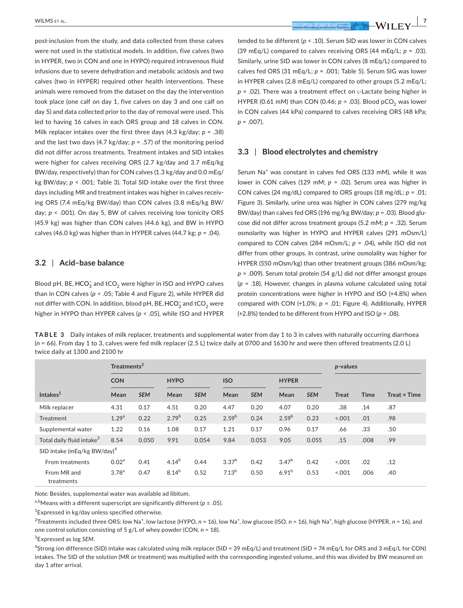post-inclusion from the study, and data collected from these calves were not used in the statistical models. In addition, five calves (two in HYPER, two in CON and one in HYPO) required intravenous fluid infusions due to severe dehydration and metabolic acidosis and two calves (two in HYPER) required other health interventions. These animals were removed from the dataset on the day the intervention took place (one calf on day 1, five calves on day 3 and one calf on day 5) and data collected prior to the day of removal were used. This led to having 16 calves in each ORS group and 18 calves in CON. Milk replacer intakes over the first three days (4.3 kg/day; *p* = .38) and the last two days (4.7 kg/day;  $p = .57$ ) of the monitoring period did not differ across treatments. Treatment intakes and SID intakes were higher for calves receiving ORS (2.7 kg/day and 3.7 mEq/kg BW/day, respectively) than for CON calves (1.3 kg/day and 0.0 mEq/ kg BW/day; *p* < .001; Table 3). Total SID intake over the first three days including MR and treatment intakes was higher in calves receiving ORS (7.4 mEq/kg BW/day) than CON calves (3.8 mEq/kg BW/ day; *p* < .001). On day 5, BW of calves receiving low tonicity ORS (45.9 kg) was higher than CON calves (44.6 kg), and BW in HYPO calves (46.0 kg) was higher than in HYPER calves (44.7 kg; *p* = .04).

#### **3.2** | **Acid–base balance**

Blood pH, BE,  $\mathsf{HCO}_3^-$  and  $\mathsf{tCO}_2$  were higher in ISO and <code>HYPO</code> calves than in CON calves (*p* < .05; Table 4 and Figure 2), while HYPER did not differ with CON. In addition, blood pH, BE, HCO $_3^-$  and tCO $_2$  were higher in HYPO than HYPER calves (*p* < .05), while ISO and HYPER

 **|** WILMS et al. **7**

tended to be different (*p* < .10). Serum SID was lower in CON calves (39 mEq/L) compared to calves receiving ORS (44 mEq/L; *p* = .03). Similarly, urine SID was lower in CON calves (8 mEq/L) compared to calves fed ORS (31 mEq/L; *p* = .001; Table 5). Serum SIG was lower in HYPER calves (2.8 mEq/L) compared to other groups (5.2 mEq/L; *p* = .02). There was a treatment effect on l-Lactate being higher in HYPER (0.61 mM) than CON (0.46;  $p = .03$ ). Blood pCO<sub>2</sub> was lower in CON calves (44 kPa) compared to calves receiving ORS (48 kPa; *p* = .007).

## **3.3** | **Blood electrolytes and chemistry**

Serum Na<sup>+</sup> was constant in calves fed ORS (133 mM), while it was lower in CON calves (129 mM; *p* = .02). Serum urea was higher in CON calves (24 mg/dL) compared to ORS groups (18 mg/dL; *p* = .01; Figure 3). Similarly, urine urea was higher in CON calves (279 mg/kg BW/day) than calves fed ORS (196 mg/kg BW/day; *p* = .03). Blood glucose did not differ across treatment groups (5.2 mM; *p* = .32). Serum osmolarity was higher in HYPO and HYPER calves (291 mOsm/L) compared to CON calves (284 mOsm/L; *p* = .04), while ISO did not differ from other groups. In contrast, urine osmolality was higher for HYPER (550 mOsm/kg) than other treatment groups (386 mOsm/kg; *p* = .009). Serum total protein (54 g/L) did not differ amongst groups (*p* = .18). However, changes in plasma volume calculated using total protein concentrations were higher in HYPO and ISO (+4.8%) when compared with CON (+1.0%; *p* = .01; Figure 4). Additionally, HYPER (+2.8%) tended to be different from HYPO and ISO (*p* = .08).

**TABLE 3** Daily intakes of milk replacer, treatments and supplemental water from day 1 to 3 in calves with naturally occurring diarrhoea (*n* = 66). From day 1 to 3, calves were fed milk replacer (2.5 L) twice daily at 0700 and 1630 hr and were then offered treatments (2.0 L) twice daily at 1300 and 2100 hr

| Treatments <sup>2</sup>                 |                   |            |             |            |                   |            |                   |            | p-values |             |                     |
|-----------------------------------------|-------------------|------------|-------------|------------|-------------------|------------|-------------------|------------|----------|-------------|---------------------|
|                                         | <b>CON</b>        |            | <b>HYPO</b> |            | <b>ISO</b>        |            | <b>HYPER</b>      |            |          |             |                     |
| Intakes $1$                             | Mean              | <b>SEM</b> | Mean        | <b>SEM</b> | Mean              | <b>SEM</b> | Mean              | <b>SEM</b> | Treat    | <b>Time</b> | <b>Treat × Time</b> |
| Milk replacer                           | 4.31              | 0.17       | 4.51        | 0.20       | 4.47              | 0.20       | 4.07              | 0.20       | .38      | .14         | .87                 |
| <b>Treatment</b>                        | 1.29 <sup>a</sup> | 0.22       | $2.79^{b}$  | 0.25       | $2.59^{b}$        | 0.24       | $2.59^{b}$        | 0.23       | 5.001    | .01         | .98                 |
| Supplemental water                      | 1.22              | 0.16       | 1.08        | 0.17       | 1.21              | 0.17       | 0.96              | 0.17       | .66      | .33         | .50                 |
| Total daily fluid intake <sup>3</sup>   | 8.54              | 0.050      | 9.91        | 0.054      | 9.84              | 0.053      | 9.05              | 0.055      | .15      | .008        | .99                 |
| SID intake (mEq/kg BW/day) <sup>4</sup> |                   |            |             |            |                   |            |                   |            |          |             |                     |
| From treatments                         | 0.02 <sup>a</sup> | 0.41       | $4.14^{b}$  | 0.44       | 3.37 <sup>b</sup> | 0.42       | 3.47 <sup>b</sup> | 0.42       | < 0.001  | .02         | .12                 |
| From MR and<br>treatments               | 3.78 <sup>a</sup> | 0.47       | $8.14^{b}$  | 0.52       | 7.13 <sup>b</sup> | 0.50       | $6.91^{b}$        | 0.53       | < 0.01   | .006        | .40                 |

*Note:* Besides, supplemental water was available ad libitum.

a,bMeans with a different superscript are significantly different (*p* ≤ .05).

 ${}^{1}$ Expressed in kg/day unless specified otherwise.

<sup>2</sup>Treatments included three ORS: low Na<sup>+</sup>, low lactose (HYPO, *n* = 16), low Na<sup>+</sup>, low glucose (ISO, *n* = 16), high Na<sup>+</sup>, high glucose (HYPER, *n* = 16), and one control solution consisting of 5 g/L of whey powder (CON, *n* = 18).

3 Expressed as log *SEM*.

4 Strong ion difference (SID) intake was calculated using milk replacer (SID = 39 mEq/L) and treatment (SID = 74 mEq/L for ORS and 3 mEq/L for CON) intakes. The SID of the solution (MR or treatment) was multiplied with the corresponding ingested volume, and this was divided by BW measured on day 1 after arrival.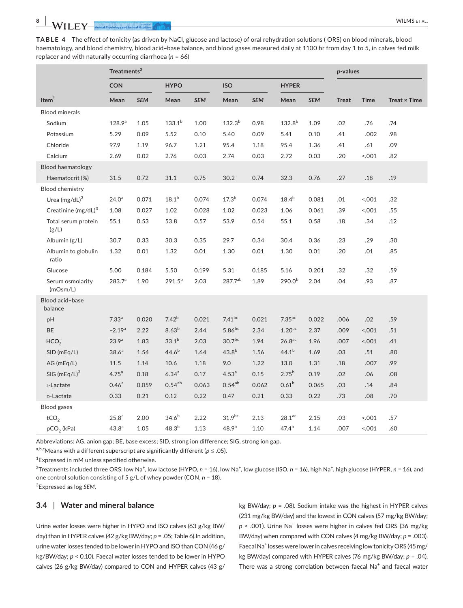**TABLE 4** The effect of tonicity (as driven by NaCl, glucose and lactose) of oral rehydration solutions ( ORS) on blood minerals, blood haematology, and blood chemistry, blood acid–base balance, and blood gases measured daily at 1100 hr from day 1 to 5, in calves fed milk replacer and with naturally occurring diarrhoea (*n* = 66)

|                                 | Treatments <sup>2</sup> |            |                   |            |                    |            |                      | p-values   |              |             |                     |
|---------------------------------|-------------------------|------------|-------------------|------------|--------------------|------------|----------------------|------------|--------------|-------------|---------------------|
|                                 | <b>CON</b>              |            | <b>HYPO</b>       |            | <b>ISO</b>         |            | <b>HYPER</b>         |            |              |             |                     |
| Item <sup>1</sup>               | Mean                    | <b>SEM</b> | Mean              | <b>SEM</b> | Mean               | <b>SEM</b> | Mean                 | <b>SEM</b> | <b>Treat</b> | <b>Time</b> | Treat $\times$ Time |
| <b>Blood minerals</b>           |                         |            |                   |            |                    |            |                      |            |              |             |                     |
| Sodium                          | 128.9 <sup>a</sup>      | 1.05       | $133.1^{b}$       | 1.00       | $132.3^{b}$        | 0.98       | $132.8^{b}$          | 1.09       | .02          | .76         | .74                 |
| Potassium                       | 5.29                    | 0.09       | 5.52              | 0.10       | 5.40               | 0.09       | 5.41                 | 0.10       | .41          | .002        | .98                 |
| Chloride                        | 97.9                    | 1.19       | 96.7              | 1.21       | 95.4               | 1.18       | 95.4                 | 1.36       | .41          | .61         | .09                 |
| Calcium                         | 2.69                    | 0.02       | 2.76              | 0.03       | 2.74               | 0.03       | 2.72                 | 0.03       | .20          | 001         | .82                 |
| <b>Blood haematology</b>        |                         |            |                   |            |                    |            |                      |            |              |             |                     |
| Haematocrit (%)                 | 31.5                    | 0.72       | 31.1              | 0.75       | 30.2               | 0.74       | 32.3                 | 0.76       | .27          | .18         | .19                 |
| <b>Blood chemistry</b>          |                         |            |                   |            |                    |            |                      |            |              |             |                     |
| Urea $(mg/dL)^3$                | 24.0 <sup>a</sup>       | 0.071      | 18.1 <sup>b</sup> | 0.074      | $17.3^{b}$         | 0.074      | $18.4^{b}$           | 0.081      | .01          | 001         | .32                 |
| Creatinine (mg/dL) <sup>3</sup> | 1.08                    | 0.027      | 1.02              | 0.028      | 1.02               | 0.023      | 1.06                 | 0.061      | .39          | 001         | .55                 |
| Total serum protein<br>(g/L)    | 55.1                    | 0.53       | 53.8              | 0.57       | 53.9               | 0.54       | 55.1                 | 0.58       | .18          | .34         | .12                 |
| Albumin (g/L)                   | 30.7                    | 0.33       | 30.3              | 0.35       | 29.7               | 0.34       | 30.4                 | 0.36       | .23          | .29         | .30                 |
| Albumin to globulin<br>ratio    | 1.32                    | 0.01       | 1.32              | 0.01       | 1.30               | 0.01       | 1.30                 | 0.01       | .20          | .01         | .85                 |
| Glucose                         | 5.00                    | 0.184      | 5.50              | 0.199      | 5.31               | 0.185      | 5.16                 | 0.201      | .32          | .32         | .59                 |
| Serum osmolarity<br>(mOsm/L)    | 283.7 <sup>a</sup>      | 1.90       | $291.5^{b}$       | 2.03       | 287.7ab            | 1.89       | $290.0^{b}$          | 2.04       | .04          | .93         | .87                 |
| Blood acid-base<br>balance      |                         |            |                   |            |                    |            |                      |            |              |             |                     |
| pH                              | 7.33 <sup>a</sup>       | 0.020      | 7.42 <sup>b</sup> | 0.021      | $7.41^{bc}$        | 0.021      | $7.35$ <sup>ac</sup> | 0.022      | .006         | .02         | .59                 |
| <b>BE</b>                       | $-2.19^{a}$             | 2.22       | $8.63^{b}$        | 2.44       | $5.86^{bc}$        | 2.34       | $1.20$ <sup>ac</sup> | 2.37       | .009         | 001         | .51                 |
| HCO <sub>3</sub>                | 23.9 <sup>a</sup>       | 1.83       | $33.1^{b}$        | 2.03       | 30.7 <sup>bc</sup> | 1.94       | $26.8$ <sup>ac</sup> | 1.96       | .007         | 001         | .41                 |
| SID (mEq/L)                     | 38.6 <sup>a</sup>       | 1.54       | $44.6^{b}$        | 1.64       | $43.8^{b}$         | 1.56       | $44.1^{b}$           | 1.69       | .03          | .51         | .80                 |
| AG (mEq/L)                      | 11.5                    | 1.14       | 10.6              | 1.18       | 9.0                | 1.22       | 13.0                 | 1.31       | .18          | .007        | .99                 |
| $SIG (mEq/L)^3$                 | 4.75 <sup>a</sup>       | 0.18       | $6.34^{a}$        | 0.17       | 4.53 <sup>a</sup>  | 0.15       | $2.75^{b}$           | 0.19       | .02          | .06         | .08                 |
| L-Lactate                       | 0.46 <sup>a</sup>       | 0.059      | $0.54^{ab}$       | 0.063      | $0.54^{ab}$        | 0.062      | $0.61^{b}$           | 0.065      | .03          | .14         | .84                 |
| D-Lactate                       | 0.33                    | 0.21       | 0.12              | 0.22       | 0.47               | 0.21       | 0.33                 | 0.22       | .73          | .08         | .70                 |
| <b>Blood gases</b>              |                         |            |                   |            |                    |            |                      |            |              |             |                     |
| tCO <sub>2</sub>                | 25.8 <sup>a</sup>       | 2.00       | $34.6^{\rm b}$    | 2.22       | 31.9 <sup>bc</sup> | 2.13       | $28.1^{\text{ac}}$   | 2.15       | .03          | 001         | .57                 |
| $pCO2$ (kPa)                    | 43.8 <sup>a</sup>       | 1.05       | $48.3^{b}$        | 1.13       | $48.9^{b}$         | 1.10       | $47.4^{b}$           | 1.14       | .007         | 001         | .60                 |

Abbreviations: AG, anion gap; BE, base excess; SID, strong ion difference; SIG, strong ion gap.

a,b,cMeans with a different superscript are significantly different (*p* ≤ .05).

1 Expressed in mM unless specified otherwise.

<sup>2</sup>Treatments included three ORS: low Na<sup>+</sup>, low lactose (HYPO, *n* = 16), low Na<sup>+</sup>, low glucose (ISO, *n* = 16), high Na<sup>+</sup>, high glucose (HYPER, *n* = 16), and one control solution consisting of 5 g/L of whey powder (CON, *n* = 18).

3 Expressed as log *SEM*.

# **3.4** | **Water and mineral balance**

Urine water losses were higher in HYPO and ISO calves (63 g/kg BW/ day) than in HYPER calves (42 g/kg BW/day; *p* = .05; Table 6).In addition, urine water losses tended to be lower in HYPO and ISO than CON (46 g/ kg/BW/day; *p* < 0.10). Faecal water losses tended to be lower in HYPO calves (26 g/kg BW/day) compared to CON and HYPER calves (43 g/

kg BW/day; *p* = .08). Sodium intake was the highest in HYPER calves (231 mg/kg BW/day) and the lowest in CON calves (57 mg/kg BW/day; p < .001). Urine Na<sup>+</sup> losses were higher in calves fed ORS (36 mg/kg BW/day) when compared with CON calves (4 mg/kg BW/day; *p* = .003). Faecal Na<sup>+</sup> losses were lower in calves receiving low tonicity ORS (45 mg/ kg BW/day) compared with HYPER calves (76 mg/kg BW/day; *p* = .04). There was a strong correlation between faecal  $\text{Na}^+$  and faecal water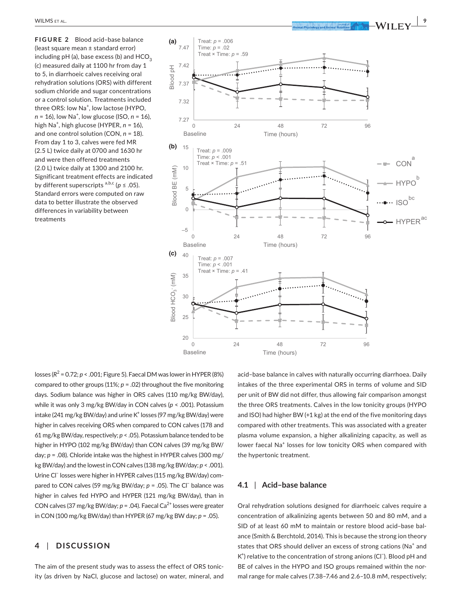**FIGURE 2** Blood acid–base balance (least square mean ± standard error) including  $pH$  (a), base excess (b) and  $HCO<sub>2</sub>$ (c) measured daily at 1100 hr from day 1 to 5, in diarrhoeic calves receiving oral rehydration solutions (ORS) with different sodium chloride and sugar concentrations or a control solution. Treatments included three ORS: low Na<sup>+</sup>, low lactose (HYPO, *n* = 16), low Na<sup>+</sup>, low glucose (ISO, *n* = 16), high Na<sup>+</sup> , high glucose (HYPER, *n* = 16), and one control solution (CON, *n* = 18). From day 1 to 3, calves were fed MR (2.5 L) twice daily at 0700 and 1630 hr and were then offered treatments (2.0 L) twice daily at 1300 and 2100 hr. Significant treatment effects are indicated by different superscripts  $a,b,c$  ( $p \leq .05$ ). Standard errors were computed on raw data to better illustrate the observed differences in variability between treatments



losses (*R*<sup>2</sup> = 0.72; *p* < .001; Figure 5). Faecal DM was lower in HYPER (8%) compared to other groups  $(11\%; p = .02)$  throughout the five monitoring days. Sodium balance was higher in ORS calves (110 mg/kg BW/day), while it was only 3 mg/kg BW/day in CON calves (*p* < .001). Potassium intake (241 mg/kg BW/day) and urine  $K^{\dagger}$  losses (97 mg/kg BW/day) were higher in calves receiving ORS when compared to CON calves (178 and 61 mg/kg BW/day, respectively; *p* < .05). Potassium balance tended to be higher in HYPO (102 mg/kg BW/day) than CON calves (39 mg/kg BW/ day; *p* = .08). Chloride intake was the highest in HYPER calves (300 mg/ kg BW/day) and the lowest in CON calves (138 mg/kg BW/day; *p* < .001). Urine Cl− losses were higher in HYPER calves (115 mg/kg BW/day) compared to CON calves (59 mg/kg BW/day; *p* = .05). The Cl<sup>−</sup> balance was higher in calves fed HYPO and HYPER (121 mg/kg BW/day), than in CON calves (37 mg/kg BW/day;  $p = .04$ ). Faecal Ca<sup>2+</sup> losses were greater in CON (100 mg/kg BW/day) than HYPER (67 mg/kg BW day; *p* = .05).

# **4** | **DISCUSSION**

The aim of the present study was to assess the effect of ORS tonicity (as driven by NaCl, glucose and lactose) on water, mineral, and acid–base balance in calves with naturally occurring diarrhoea. Daily intakes of the three experimental ORS in terms of volume and SID per unit of BW did not differ, thus allowing fair comparison amongst the three ORS treatments. Calves in the low tonicity groups (HYPO and ISO) had higher BW (+1 kg) at the end of the five monitoring days compared with other treatments. This was associated with a greater plasma volume expansion, a higher alkalinizing capacity, as well as lower faecal Na<sup>+</sup> losses for low tonicity ORS when compared with the hypertonic treatment.

## **4.1** | **Acid–base balance**

Oral rehydration solutions designed for diarrhoeic calves require a concentration of alkalinizing agents between 50 and 80 mM, and a SID of at least 60 mM to maintain or restore blood acid–base balance (Smith & Berchtold, 2014). This is because the strong ion theory states that ORS should deliver an excess of strong cations (Na<sup>+</sup> and K<sup>+</sup>) relative to the concentration of strong anions (Cl<sup>-</sup>). Blood pH and BE of calves in the HYPO and ISO groups remained within the normal range for male calves (7.38–7.46 and 2.6–10.8 mM, respectively;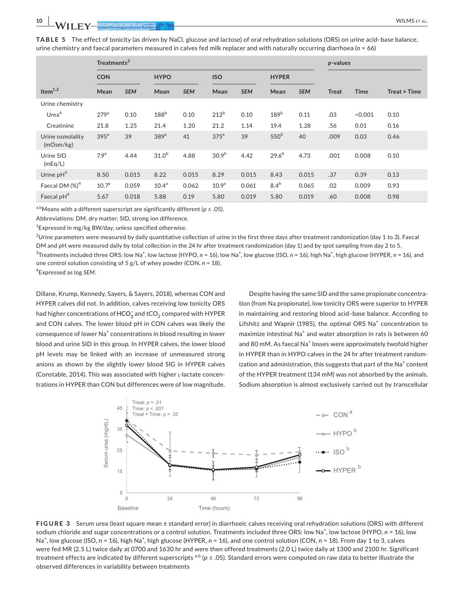**TABLE 5** The effect of tonicity (as driven by NaCl, glucose and lactose) of oral rehydration solutions (ORS) on urine acid–base balance, urine chemistry and faecal parameters measured in calves fed milk replacer and with naturally occurring diarrhoea (*n* = 66)

|                               | Treatments <sup>3</sup> |            |                   |            |                   |            |                  |            | p-values     |             |                     |
|-------------------------------|-------------------------|------------|-------------------|------------|-------------------|------------|------------------|------------|--------------|-------------|---------------------|
|                               | <b>CON</b>              |            | <b>HYPO</b>       |            | <b>ISO</b>        |            | <b>HYPER</b>     |            |              |             |                     |
| Item $1,2$                    | Mean                    | <b>SEM</b> | Mean              | <b>SEM</b> | Mean              | <b>SEM</b> | Mean             | <b>SEM</b> | <b>Treat</b> | <b>Time</b> | <b>Treat × Time</b> |
| Urine chemistry               |                         |            |                   |            |                   |            |                  |            |              |             |                     |
| Urea <sup>4</sup>             | 279 <sup>a</sup>        | 0.10       | 188 <sup>b</sup>  | 0.10       | 212 <sup>b</sup>  | 0.10       | 189 <sup>b</sup> | 0.11       | .03          | < 0.001     | 0.10                |
| Creatinine                    | 21.8                    | 1.25       | 21.4              | 1.20       | 21.2              | 1.14       | 19.4             | 1.28       | .56          | 0.01        | 0.16                |
| Urine osmolality<br>(mOsm/kg) | 395 <sup>a</sup>        | 39         | 389 <sup>a</sup>  | 41         | 375 <sup>a</sup>  | 39         | 550 <sup>b</sup> | 40         | .009         | 0.03        | 0.46                |
| Urine SID<br>(mEq/L)          | 7.9 <sup>a</sup>        | 4.44       | 31.0 <sup>b</sup> | 4.88       | 30.9 <sup>b</sup> | 4.42       | $29.6^{b}$       | 4.73       | .001         | 0.008       | 0.10                |
| Urine $pH4$                   | 8.50                    | 0.015      | 8.22              | 0.015      | 8.29              | 0.015      | 8.43             | 0.015      | .37          | 0.39        | 0.13                |
| Faecal DM $(\%)^4$            | 10.7 <sup>a</sup>       | 0.059      | 10.4 <sup>a</sup> | 0.062      | 10.9 <sup>a</sup> | 0.061      | 8.4 <sup>b</sup> | 0.065      | .02          | 0.009       | 0.93                |
| Faecal pH <sup>4</sup>        | 5.67                    | 0.018      | 5.88              | 0.19       | 5.80              | 0.019      | 5.80             | 0.019      | .60          | 0.008       | 0.98                |

a,bMeans with a different superscript are significantly different (*p* ≤ .05).

Abbreviations: DM, dry matter; SID, strong ion difference.

<sup>1</sup> Expressed in mg/kg BW/day, unless specified otherwise.

 $^2$ Urine parameters were measured by daily quantitative collection of urine in the first three days after treatment randomization (day 1 to 3). Faecal DM and pH were measured daily by total collection in the 24 hr after treatment randomization (day 1) and by spot sampling from day 2 to 5. <sup>3</sup>Treatments included three ORS: low Na<sup>+</sup>, low lactose (HYPO, *n* = 16), low Na<sup>+</sup>, low glucose (ISO, *n* = 16), high Na<sup>+</sup>, high glucose (HYPER, *n* = 16), and one control solution consisting of 5 g/L of whey powder (CON, *n* = 18). 4 Expressed as log *SEM*.

Dillane, Krump, Kennedy, Sayers, & Sayers, 2018), whereas CON and HYPER calves did not. In addition, calves receiving low tonicity ORS had higher concentrations of  $\mathsf{HCO}^-_3$  and tCO $_2$  compared with <code>HYPER</code> and CON calves. The lower blood pH in CON calves was likely the consequence of lower Na<sup>+</sup> concentrations in blood resulting in lower blood and urine SID in this group. In HYPER calves, the lower blood pH levels may be linked with an increase of unmeasured strong anions as shown by the slightly lower blood SIG in HYPER calves (Constable, 2014). This was associated with higher l-lactate concentrations in HYPER than CON but differences were of low magnitude.

Despite having the same SID and the same propionate concentration (from Na propionate), low tonicity ORS were superior to HYPER in maintaining and restoring blood acid–base balance. According to Lifshitz and Wapnir (1985), the optimal ORS  $Na<sup>+</sup>$  concentration to maximize intestinal Na<sup>+</sup> and water absorption in rats is between 60 and 80 mM. As faecal Na<sup>+</sup> losses were approximately twofold higher in HYPER than in HYPO calves in the 24 hr after treatment randomization and administration, this suggests that part of the  $\text{Na}^+$  content of the HYPER treatment (134 mM) was not absorbed by the animals. Sodium absorption is almost exclusively carried out by transcellular



**FIGURE 3** Serum urea (least square mean ± standard error) in diarrhoeic calves receiving oral rehydration solutions (ORS) with different sodium chloride and sugar concentrations or a control solution. Treatments included three ORS: low Na<sup>+</sup>, low lactose (HYPO, n = 16), low Na<sup>+</sup>, low glucose (ISO, *n* = 16), high Na<sup>+</sup>, high glucose (HYPER, *n* = 16), and one control solution (CON, *n* = 18). From day 1 to 3, calves were fed MR (2.5 L) twice daily at 0700 and 1630 hr and were then offered treatments (2.0 L) twice daily at 1300 and 2100 hr. Significant treatment effects are indicated by different superscripts <sup>a,b</sup> ( $p \le 0.05$ ). Standard errors were computed on raw data to better illustrate the observed differences in variability between treatments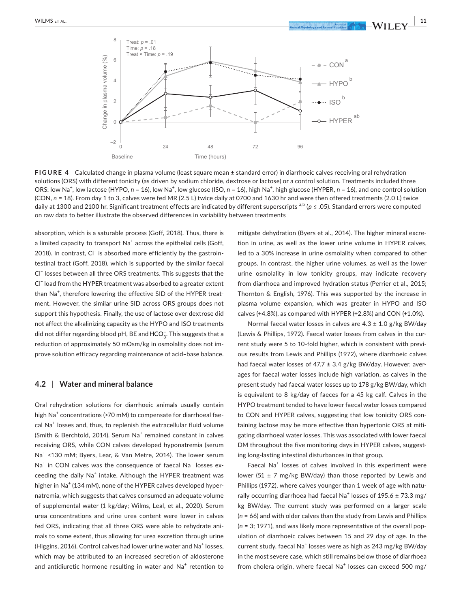

**FIGURE 4** Calculated change in plasma volume (least square mean ± standard error) in diarrhoeic calves receiving oral rehydration solutions (ORS) with different tonicity (as driven by sodium chloride, dextrose or lactose) or a control solution. Treatments included three ORS: low Na<sup>+</sup>, low lactose (HYPO, *n* = 16), low Na<sup>+</sup>, low glucose (ISO, *n* = 16), high Na<sup>+</sup>, high glucose (HYPER, *n* = 16), and one control solution (CON, *n* = 18). From day 1 to 3, calves were fed MR (2.5 L) twice daily at 0700 and 1630 hr and were then offered treatments (2.0 L) twice daily at 1300 and 2100 hr. Significant treatment effects are indicated by different superscripts <sup>a,b</sup> (*p* ≤ .05). Standard errors were computed on raw data to better illustrate the observed differences in variability between treatments

absorption, which is a saturable process (Goff, 2018). Thus, there is a limited capacity to transport Na<sup>+</sup> across the epithelial cells (Goff, 2018). In contrast, Cl<sup>−</sup> is absorbed more efficiently by the gastrointestinal tract (Goff, 2018), which is supported by the similar faecal Cl− losses between all three ORS treatments. This suggests that the Cl− load from the HYPER treatment was absorbed to a greater extent than Na<sup>+</sup>, therefore lowering the effective SID of the HYPER treatment. However, the similar urine SID across ORS groups does not support this hypothesis. Finally, the use of lactose over dextrose did not affect the alkalinizing capacity as the HYPO and ISO treatments did not differ regarding blood pH, BE and  $\mathsf{HCO}_3^-$ . This suggests that a reduction of approximately 50 mOsm/kg in osmolality does not improve solution efficacy regarding maintenance of acid–base balance.

## **4.2** | **Water and mineral balance**

Oral rehydration solutions for diarrhoeic animals usually contain high Na $^+$  concentrations (>70 mM) to compensate for diarrhoeal faecal Na<sup>+</sup> losses and, thus, to replenish the extracellular fluid volume (Smith & Berchtold, 2014). Serum Na<sup>+</sup> remained constant in calves receiving ORS, while CON calves developed hyponatremia (serum Na<sup>+</sup> <130 mM; Byers, Lear, & Van Metre, 2014). The lower serum Na<sup>+</sup> in CON calves was the consequence of faecal Na<sup>+</sup> losses exceeding the daily Na<sup>+</sup> intake. Although the HYPER treatment was higher in Na<sup>+</sup> (134 mM), none of the HYPER calves developed hypernatremia, which suggests that calves consumed an adequate volume of supplemental water (1 kg/day; Wilms, Leal, et al., 2020). Serum urea concentrations and urine urea content were lower in calves fed ORS, indicating that all three ORS were able to rehydrate animals to some extent, thus allowing for urea excretion through urine (Higgins, 2016). Control calves had lower urine water and Na $^{\mathrm{+}}$  losses, which may be attributed to an increased secretion of aldosterone and antidiuretic hormone resulting in water and  $\mathrm{Na}^+$  retention to mitigate dehydration (Byers et al., 2014). The higher mineral excretion in urine, as well as the lower urine volume in HYPER calves, led to a 30% increase in urine osmolality when compared to other groups. In contrast, the higher urine volumes, as well as the lower urine osmolality in low tonicity groups, may indicate recovery from diarrhoea and improved hydration status (Perrier et al., 2015; Thornton & English, 1976). This was supported by the increase in plasma volume expansion, which was greater in HYPO and ISO calves (+4.8%), as compared with HYPER (+2.8%) and CON (+1.0%).

Normal faecal water losses in calves are  $4.3 \pm 1.0$  g/kg BW/day (Lewis & Phillips, 1972). Faecal water losses from calves in the current study were 5 to 10-fold higher, which is consistent with previous results from Lewis and Phillips (1972), where diarrhoeic calves had faecal water losses of 47.7  $\pm$  3.4 g/kg BW/day. However, averages for faecal water losses include high variation, as calves in the present study had faecal water losses up to 178 g/kg BW/day, which is equivalent to 8 kg/day of faeces for a 45 kg calf. Calves in the HYPO treatment tended to have lower faecal water losses compared to CON and HYPER calves, suggesting that low tonicity ORS containing lactose may be more effective than hypertonic ORS at mitigating diarrhoeal water losses. This was associated with lower faecal DM throughout the five monitoring days in HYPER calves, suggesting long-lasting intestinal disturbances in that group.

Faecal Na<sup>+</sup> losses of calves involved in this experiment were lower (51  $\pm$  7 mg/kg BW/day) than those reported by Lewis and Phillips (1972), where calves younger than 1 week of age with naturally occurring diarrhoea had faecal Na<sup>+</sup> losses of 195.6  $\pm$  73.3 mg/ kg BW/day. The current study was performed on a larger scale (*n* = 66) and with older calves than the study from Lewis and Phillips (*n* = 3; 1971), and was likely more representative of the overall population of diarrhoeic calves between 15 and 29 day of age. In the current study, faecal Na<sup>+</sup> losses were as high as 243 mg/kg BW/day in the most severe case, which still remains below those of diarrhoea from cholera origin, where faecal Na<sup>+</sup> losses can exceed 500 mg/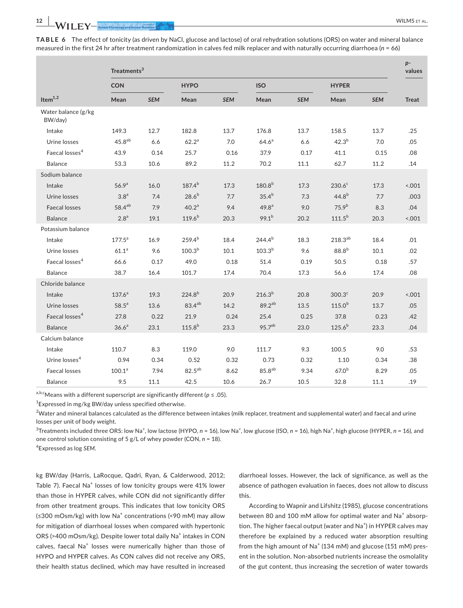**TABLE 6** The effect of tonicity (as driven by NaCl, glucose and lactose) of oral rehydration solutions (ORS) on water and mineral balance measured in the first 24 hr after treatment randomization in calves fed milk replacer and with naturally occurring diarrhoea (*n* = 66)

|                                | Treatments <sup>3</sup> |            |                    |            |                    |            |                    |              |              |  |  |  |
|--------------------------------|-------------------------|------------|--------------------|------------|--------------------|------------|--------------------|--------------|--------------|--|--|--|
|                                | <b>CON</b>              |            | <b>HYPO</b>        |            |                    | <b>ISO</b> |                    | <b>HYPER</b> |              |  |  |  |
| Item $^{1,2}$                  | Mean                    | <b>SEM</b> | Mean               | <b>SEM</b> | Mean               | <b>SEM</b> | Mean               | <b>SEM</b>   | <b>Treat</b> |  |  |  |
| Water balance (g/kg<br>BW/day) |                         |            |                    |            |                    |            |                    |              |              |  |  |  |
| Intake                         | 149.3                   | 12.7       | 182.8              | 13.7       | 176.8              | 13.7       | 158.5              | 13.7         | .25          |  |  |  |
| Urine losses                   | 45.8 <sup>ab</sup>      | 6.6        | 62.2 <sup>a</sup>  | 7.0        | 64.6 <sup>a</sup>  | 6.6        | $42.3^{b}$         | 7.0          | .05          |  |  |  |
| Faecal losses <sup>4</sup>     | 43.9                    | 0.14       | 25.7               | 0.16       | 37.9               | 0.17       | 41.1               | 0.15         | .08          |  |  |  |
| <b>Balance</b>                 | 53.3                    | 10.6       | 89.2               | 11.2       | 70.2               | 11.1       | 62.7               | 11.2         | .14          |  |  |  |
| Sodium balance                 |                         |            |                    |            |                    |            |                    |              |              |  |  |  |
| Intake                         | 56.9 <sup>a</sup>       | 16.0       | $187.4^{b}$        | 17.3       | $180.8^{b}$        | 17.3       | 230.6 <sup>c</sup> | 17.3         | 001          |  |  |  |
| Urine losses                   | 3.8 <sup>a</sup>        | 7.4        | $28.6^{b}$         | 7.7        | $35.4^{b}$         | 7.3        | $44.8^{b}$         | 7.7          | .003         |  |  |  |
| <b>Faecal losses</b>           | $58.4^{ab}$             | 7.9        | 40.2 <sup>a</sup>  | 9.4        | 49.8 <sup>a</sup>  | 9.0        | 75.9 <sup>b</sup>  | 8.3          | .04          |  |  |  |
| <b>Balance</b>                 | 2.8 <sup>a</sup>        | 19.1       | $119.6^{b}$        | 20.3       | $99.1^{b}$         | 20.2       | $111.5^{b}$        | 20.3         | 0.001        |  |  |  |
| Potassium balance              |                         |            |                    |            |                    |            |                    |              |              |  |  |  |
| Intake                         | $177.5^a$               | 16.9       | $259.4^{b}$        | 18.4       | $244.4^{b}$        | 18.3       | $218.3^{ab}$       | 18.4         | .01          |  |  |  |
| Urine losses                   | 61.1 <sup>a</sup>       | 9.6        | 100.3 <sup>b</sup> | 10.1       | $103.3^{b}$        | 9.6        | $88.8^{b}$         | 10.1         | .02          |  |  |  |
| Faecal losses <sup>4</sup>     | 66.6                    | 0.17       | 49.0               | 0.18       | 51.4               | 0.19       | 50.5               | 0.18         | .57          |  |  |  |
| Balance                        | 38.7                    | 16.4       | 101.7              | 17.4       | 70.4               | 17.3       | 56.6               | 17.4         | .08          |  |  |  |
| Chloride balance               |                         |            |                    |            |                    |            |                    |              |              |  |  |  |
| Intake                         | $137.6^a$               | 19.3       | $224.8^{b}$        | 20.9       | $216.3^{b}$        | 20.8       | 300.3 <sup>c</sup> | 20.9         | < .001       |  |  |  |
| Urine losses                   | $58.5^{a}$              | 13.6       | $83.4^{ab}$        | 14.2       | $89.2^{ab}$        | 13.5       | $115.0^{b}$        | 13.7         | .05          |  |  |  |
| Faecal losses <sup>4</sup>     | 27.8                    | 0.22       | 21.9               | 0.24       | 25.4               | 0.25       | 37.8               | 0.23         | .42          |  |  |  |
| <b>Balance</b>                 | 36.6 <sup>a</sup>       | 23.1       | $115.8^{b}$        | 23.3       | 95.7 <sup>ab</sup> | 23.0       | $125.6^{b}$        | 23.3         | .04          |  |  |  |
| Calcium balance                |                         |            |                    |            |                    |            |                    |              |              |  |  |  |
| Intake                         | 110.7                   | 8.3        | 119.0              | 9.0        | 111.7              | 9.3        | 100.5              | 9.0          | .53          |  |  |  |
| Urine losses <sup>4</sup>      | 0.94                    | 0.34       | 0.52               | 0.32       | 0.73               | 0.32       | 1.10               | 0.34         | .38          |  |  |  |
| <b>Faecal losses</b>           | 100.1 <sup>a</sup>      | 7.94       | $82.5^{ab}$        | 8.62       | $85.8^{ab}$        | 9.34       | $67.0^{b}$         | 8.29         | .05          |  |  |  |
| Balance                        | 9.5                     | 11.1       | 42.5               | 10.6       | 26.7               | 10.5       | 32.8               | 11.1         | .19          |  |  |  |

a,b,cMeans with a different superscript are significantly different (*p* ≤ .05).

<sup>1</sup> Expressed in mg/kg BW/day unless specified otherwise.

 $^2$ Water and mineral balances calculated as the difference between intakes (milk replacer, treatment and supplemental water) and faecal and urine losses per unit of body weight.

<sup>3</sup>Treatments included three ORS: low Na<sup>+</sup>, low lactose (HYPO, *n* = 16), low Na<sup>+</sup>, low glucose (ISO, *n* = 16), high Na<sup>+</sup>, high glucose (HYPER, *n* = 16), and one control solution consisting of 5 g/L of whey powder (CON, *n* = 18).

4 Expressed as log *SEM*.

kg BW/day (Harris, LaRocque, Qadri, Ryan, & Calderwood, 2012; Table 7). Faecal Na<sup>+</sup> losses of low tonicity groups were 41% lower than those in HYPER calves, while CON did not significantly differ from other treatment groups. This indicates that low tonicity ORS  $(\leq 300 \text{ mOsm/kg})$  with low Na<sup>+</sup> concentrations (<90 mM) may allow for mitigation of diarrhoeal losses when compared with hypertonic ORS (>400 mOsm/kg). Despite lower total daily Na<sup>+</sup> intakes in CON calves, faecal Na<sup>+</sup> losses were numerically higher than those of HYPO and HYPER calves. As CON calves did not receive any ORS, their health status declined, which may have resulted in increased

diarrhoeal losses. However, the lack of significance, as well as the absence of pathogen evaluation in faeces, does not allow to discuss this.

According to Wapnir and Lifshitz (1985), glucose concentrations between 80 and 100 mM allow for optimal water and Na<sup>+</sup> absorption. The higher faecal output (water and Na<sup>+</sup>) in HYPER calves may therefore be explained by a reduced water absorption resulting from the high amount of  $\text{Na}^+$  (134 mM) and glucose (151 mM) present in the solution. Non-absorbed nutrients increase the osmolality of the gut content, thus increasing the secretion of water towards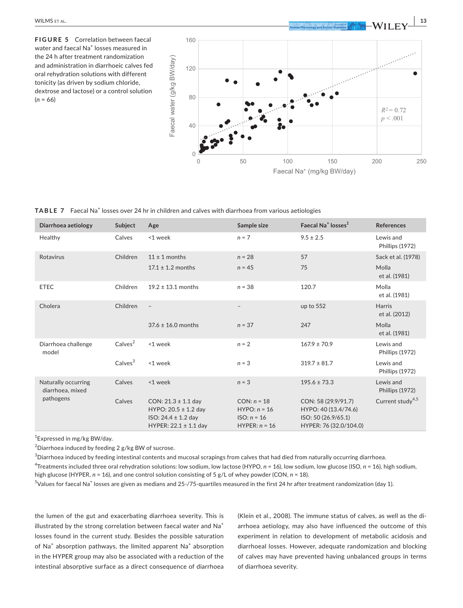**FIGURE 5** Correlation between faecal water and faecal  $\mathsf{Na}^+$  losses measured in the 24 h after treatment randomization and administration in diarrhoeic calves fed oral rehydration solutions with different tonicity (as driven by sodium chloride, dextrose and lactose) or a control solution  $(n = 66)$ 



**TABLE 7** Faecal Na<sup>+</sup> losses over 24 hr in children and calves with diarrhoea from various aetiologies

| Diarrhoea aetiology                     | Subject             | Age                                                                                                         | Sample size                                                         | Faecal Na <sup>+</sup> losses <sup>1</sup>                                                   | <b>References</b>            |
|-----------------------------------------|---------------------|-------------------------------------------------------------------------------------------------------------|---------------------------------------------------------------------|----------------------------------------------------------------------------------------------|------------------------------|
| Healthy                                 | Calves              | <1 week                                                                                                     | $n = 7$                                                             | $9.5 \pm 2.5$                                                                                | Lewis and<br>Phillips (1972) |
| Rotavirus                               | Children            | $11 \pm 1$ months                                                                                           | $n = 28$                                                            | 57                                                                                           | Sack et al. (1978)           |
|                                         |                     | $17.1 \pm 1.2$ months                                                                                       | $n = 45$                                                            | 75                                                                                           | Molla<br>et al. (1981)       |
| <b>ETEC</b>                             | Children            | $19.2 \pm 13.1$ months                                                                                      | $n = 38$                                                            | 120.7                                                                                        | Molla<br>et al. (1981)       |
| Cholera                                 | Children            | $\overline{\phantom{a}}$                                                                                    | $\qquad \qquad -$                                                   | up to 552                                                                                    | Harris<br>et al. (2012)      |
|                                         |                     | $37.6 \pm 16.0$ months                                                                                      | $n = 37$                                                            | 247                                                                                          | Molla<br>et al. (1981)       |
| Diarrhoea challenge<br>model            | Calves <sup>2</sup> | <1 week                                                                                                     | $n = 2$                                                             | $167.9 \pm 70.9$                                                                             | Lewis and<br>Phillips (1972) |
|                                         | Calves <sup>3</sup> | <1 week                                                                                                     | $n = 3$                                                             | $319.7 \pm 81.7$                                                                             | Lewis and<br>Phillips (1972) |
| Naturally occurring<br>diarrhoea, mixed | Calves              | <1 week                                                                                                     | $n = 3$                                                             | $195.6 \pm 73.3$                                                                             | Lewis and<br>Phillips (1972) |
| pathogens                               | Calves              | CON: $21.3 \pm 1.1$ day<br>HYPO: $20.5 \pm 1.2$ day<br>ISO: $24.4 \pm 1.2$ day<br>HYPER: $22.1 \pm 1.1$ day | $CON: n = 18$<br>$HYPO: n = 16$<br>$ISO: n = 16$<br>$HYPER: n = 16$ | CON: 58 (29.9/91.7)<br>HYPO: 40 (13.4/74.6)<br>ISO: 50 (26.9/65.1)<br>HYPER: 76 (32.0/104.0) | Current study <sup>4,5</sup> |

1 Expressed in mg/kg BW/day.

 $^{2}$ Diarrhoea induced by feeding 2 g/kg BW of sucrose.

 $^3$ Diarrhoea induced by feeding intestinal contents and mucosal scrapings from calves that had died from naturally occurring diarrhoea.

4 Treatments included three oral rehydration solutions: low sodium, low lactose (HYPO, *n* = 16), low sodium, low glucose (ISO, *n* = 16), high sodium, high glucose (HYPER, *n* = 16), and one control solution consisting of 5 g/L of whey powder (CON, *n* = 18).

 $^5$ Values for faecal Na $^{\ast}$  losses are given as medians and 25-/75-quartiles measured in the first 24 hr after treatment randomization (day 1).

the lumen of the gut and exacerbating diarrhoea severity. This is illustrated by the strong correlation between faecal water and Na<sup>+</sup> losses found in the current study. Besides the possible saturation of Na<sup>+</sup> absorption pathways, the limited apparent Na<sup>+</sup> absorption in the HYPER group may also be associated with a reduction of the intestinal absorptive surface as a direct consequence of diarrhoea

(Klein et al., 2008). The immune status of calves, as well as the diarrhoea aetiology, may also have influenced the outcome of this experiment in relation to development of metabolic acidosis and diarrhoeal losses. However, adequate randomization and blocking of calves may have prevented having unbalanced groups in terms of diarrhoea severity.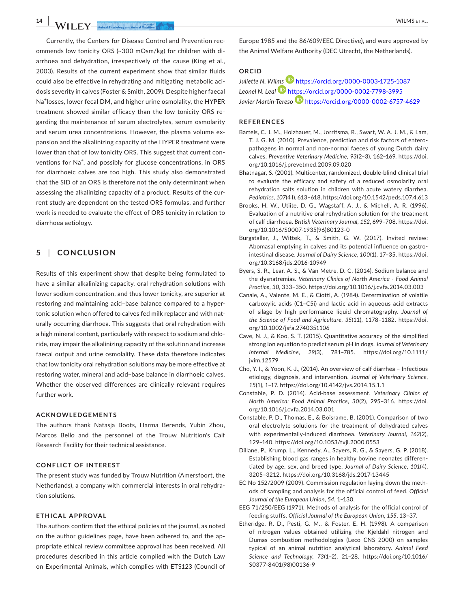**14 |**  WILMS et al.

Currently, the Centers for Disease Control and Prevention recommends low tonicity ORS (~300 mOsm/kg) for children with diarrhoea and dehydration, irrespectively of the cause (King et al., 2003). Results of the current experiment show that similar fluids could also be effective in rehydrating and mitigating metabolic acidosis severity in calves (Foster & Smith, 2009). Despite higher faecal Na<sup>+</sup> losses, lower fecal DM, and higher urine osmolality, the HYPER treatment showed similar efficacy than the low tonicity ORS regarding the maintenance of serum electrolytes, serum osmolarity and serum urea concentrations. However, the plasma volume expansion and the alkalinizing capacity of the HYPER treatment were lower than that of low tonicity ORS. This suggest that current conventions for Na<sup>+</sup>, and possibly for glucose concentrations, in ORS for diarrhoeic calves are too high. This study also demonstrated that the SID of an ORS is therefore not the only determinant when assessing the alkalinizing capacity of a product. Results of the current study are dependent on the tested ORS formulas, and further work is needed to evaluate the effect of ORS tonicity in relation to diarrhoea aetiology.

## **5** | **CONCLUSION**

Results of this experiment show that despite being formulated to have a similar alkalinizing capacity, oral rehydration solutions with lower sodium concentration, and thus lower tonicity, are superior at restoring and maintaining acid–base balance compared to a hypertonic solution when offered to calves fed milk replacer and with naturally occurring diarrhoea. This suggests that oral rehydration with a high mineral content, particularly with respect to sodium and chloride, may impair the alkalinizing capacity of the solution and increase faecal output and urine osmolality. These data therefore indicates that low tonicity oral rehydration solutions may be more effective at restoring water, mineral and acid–base balance in diarrhoeic calves. Whether the observed differences are clinically relevant requires further work.

#### **ACKNOWLEDGEMENTS**

The authors thank Natasja Boots, Harma Berends, Yubin Zhou, Marcos Bello and the personnel of the Trouw Nutrition's Calf Research Facility for their technical assistance.

#### **CONFLICT OF INTEREST**

The present study was funded by Trouw Nutrition (Amersfoort, the Netherlands), a company with commercial interests in oral rehydration solutions.

#### **ETHICAL APPROVAL**

The authors confirm that the ethical policies of the journal, as noted on the author guidelines page, have been adhered to, and the appropriate ethical review committee approval has been received. All procedures described in this article complied with the Dutch Law on Experimental Animals, which complies with ETS123 (Council of Europe 1985 and the 86/609/EEC Directive), and were approved by the Animal Welfare Authority (DEC Utrecht, the Netherlands).

# **ORCID**

*Juliette N. Wi[lms](https://orcid.org/0000-0002-7798-3995)* <https://orcid.org/0000-0003-1725-1087> *Leonel N. Leal* <https://orcid.org/0000-0002-7798-3995> *Javier Martín-Tereso* <https://orcid.org/0000-0002-6757-4629>

## **REFERENCES**

- Bartels, C. J. M., Holzhauer, M., Jorritsma, R., Swart, W. A. J. M., & Lam, T. J. G. M. (2010). Prevalence, prediction and risk factors of enteropathogens in normal and non-normal faeces of young Dutch dairy calves. *Preventive Veterinary Medicine*, *93*(2–3), 162–169. [https://doi.](https://doi.org/10.1016/j.prevetmed.2009.09.020) [org/10.1016/j.prevetmed.2009.09.020](https://doi.org/10.1016/j.prevetmed.2009.09.020)
- Bhatnagar, S. (2001). Multicenter, randomized, double-blind clinical trial to evaluate the efficacy and safety of a reduced osmolarity oral rehydration salts solution in children with acute watery diarrhea. *Pediatrics*, *107*(4 I), 613–618.<https://doi.org/10.1542/peds.107.4.613>
- Brooks, H. W., Utiite, D. G., Wagstaff, A. J., & Michell, A. R. (1996). Evaluation of a nutritive oral rehydration solution for the treatment of calf diarrhoea. *British Veterinary Journal*, *152*, 699–708. [https://doi.](https://doi.org/10.1016/S0007-1935(96)80123-0) [org/10.1016/S0007-1935\(96\)80123-0](https://doi.org/10.1016/S0007-1935(96)80123-0)
- Burgstaller, J., Wittek, T., & Smith, G. W. (2017). Invited review: Abomasal emptying in calves and its potential influence on gastrointestinal disease. *Journal of Dairy Science*, *100*(1), 17–35. [https://doi.](https://doi.org/10.3168/jds.2016-10949) [org/10.3168/jds.2016-10949](https://doi.org/10.3168/jds.2016-10949)
- Byers, S. R., Lear, A. S., & Van Metre, D. C. (2014). Sodium balance and the dysnatremias. *Veterinary Clinics of North America - Food Animal Practice*, *30*, 333–350.<https://doi.org/10.1016/j.cvfa.2014.03.003>
- Canale, A., Valente, M. E., & Ciotti, A. (1984). Determination of volatile carboxylic acids (C1–C5i) and lactic acid in aqueous acid extracts of silage by high performance liquid chromatography. *Journal of the Science of Food and Agriculture*, *35*(11), 1178–1182. [https://doi.](https://doi.org/10.1002/jsfa.2740351106) [org/10.1002/jsfa.2740351106](https://doi.org/10.1002/jsfa.2740351106)
- Cave, N. J., & Koo, S. T. (2015). Quantitative accuracy of the simplified strong ion equation to predict serum pH in dogs. *Journal of Veterinary Internal Medicine*, *29*(3), 781–785. [https://doi.org/10.1111/](https://doi.org/10.1111/jvim.12579) [jvim.12579](https://doi.org/10.1111/jvim.12579)
- Cho, Y. I., & Yoon, K.-J., (2014). An overview of calf diarrhea Infectious etiology, diagnosis, and intervention. *Journal of Veterinary Science*, *15*(1), 1–17.<https://doi.org/10.4142/jvs.2014.15.1.1>
- Constable, P. D. (2014). Acid-base assessment. *Veterinary Clinics of North America: Food Animal Practice*, *30*(2), 295–316. [https://doi.](https://doi.org/10.1016/j.cvfa.2014.03.001) [org/10.1016/j.cvfa.2014.03.001](https://doi.org/10.1016/j.cvfa.2014.03.001)
- Constable, P. D., Thomas, E., & Boisrame, B. (2001). Comparison of two oral electrolyte solutions for the treatment of dehydrated calves with experimentally-induced diarrhoea. *Veterinary Journal*, *162*(2), 129–140.<https://doi.org/10.1053/tvjl.2000.0553>
- Dillane, P., Krump, L., Kennedy, A., Sayers, R. G., & Sayers, G. P. (2018). Establishing blood gas ranges in healthy bovine neonates differentiated by age, sex, and breed type. *Journal of Dairy Science*, *101*(4), 3205–3212. <https://doi.org/10.3168/jds.2017-13445>
- EC No 152/2009 (2009). Commission regulation laying down the methods of sampling and analysis for the official control of feed. *Official Journal of the European Union*, *54*, 1–130.
- EEG 71/250/EEG (1971). Methods of analysis for the official control of feeding stuffs. *Official Journal of the European Union*, *155*, 13–37.
- Etheridge, R. D., Pesti, G. M., & Foster, E. H. (1998). A comparison of nitrogen values obtained utilizing the Kjeldahl nitrogen and Dumas combustion methodologies (Leco CNS 2000) on samples typical of an animal nutrition analytical laboratory. *Animal Feed Science and Technology*, *73*(1–2), 21–28. [https://doi.org/10.1016/](https://doi.org/10.1016/S0377-8401(98)00136-9) [S0377-8401\(98\)00136-9](https://doi.org/10.1016/S0377-8401(98)00136-9)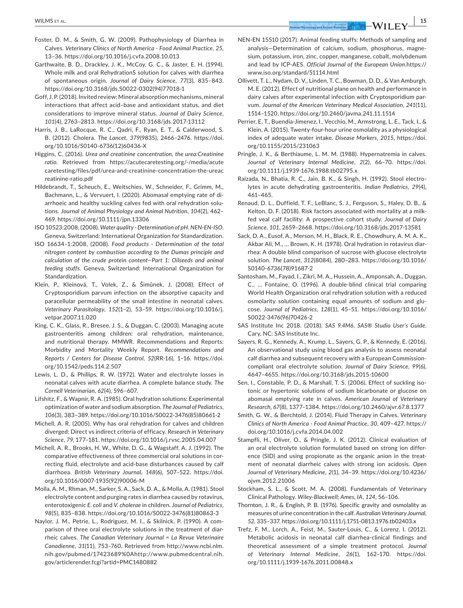- Foster, D. M., & Smith, G. W. (2009). Pathophysiology of Diarrhea in Calves. *Veterinary Clinics of North America - Food Animal Practice*, *25*, 13–36.<https://doi.org/10.1016/j.cvfa.2008.10.013>
- Garthwaite, B. D., Drackley, J. K., McCoy, G. C., & Jaster, E. H. (1994). Whole milk and oral RehydrationS solution for calves with diarrhea of spontaneous origin. *Journal of Dairy Science*, *77*(3), 835–843. [https://doi.org/10.3168/jds.S0022-0302\(94\)77018-1](https://doi.org/10.3168/jds.S0022-0302(94)77018-1)
- Goff, J. P. (2018). Invited review: Mineral absorption mechanisms, mineral interactions that affect acid–base and antioxidant status, and diet considerations to improve mineral status. *Journal of Dairy Science*, *101*(4), 2763–2813.<https://doi.org/10.3168/jds.2017-13112>
- Harris, J. B., LaRocque, R. C., Qadri, F., Ryan, E. T., & Calderwood, S. B. (2012). Cholera. *The Lancet*, *379*(9835), 2466–2476. [https://doi.](https://doi.org/10.1016/S0140-6736(12)60436-X) [org/10.1016/S0140-6736\(12\)60436-X](https://doi.org/10.1016/S0140-6736(12)60436-X)
- Higgins, C. (2016). *Urea and creatinine concentration, the urea:Creatinine ratio*. Retrieved from [https://acutecaretesting.org/-/media/acute](https://acutecaretesting.org/-/media/acutecaretesting/files/pdf/urea-and-creatinine-concentration-the-ureacreatinine-ratio.pdf) [caretesting/files/pdf/urea-and-creatinine-concentration-the-ureac](https://acutecaretesting.org/-/media/acutecaretesting/files/pdf/urea-and-creatinine-concentration-the-ureacreatinine-ratio.pdf) [reatinine-ratio.pdf](https://acutecaretesting.org/-/media/acutecaretesting/files/pdf/urea-and-creatinine-concentration-the-ureacreatinine-ratio.pdf)
- Hildebrandt, T., Scheuch, E., Weitschies, W., Schneider, F., Grimm, M., Bachmann, L., & Vervuert, I. (2020). Abomasal emptying rate of diarrhoeic and healthy suckling calves fed with oral rehydration solutions. *Journal of Animal Physiology and Animal Nutrition*, *104*(2), 462– 469.<https://doi.org/10.1111/jpn.13306>
- ISO 10523:2008, (2008). *Water quality Determination of pH. NEN-EN-ISO*. Geneva, Switzerland: International Organization for Standardization.
- ISO 16634–1:2008, (2008). *Food products Determination of the total nitrogen content by combustion according to the Dumas principle and calculation of the crude protein content—Part 1: Oilseeds and animal feeding stuffs*. Geneva, Switzerland: International Organization for Standardization.
- Klein, P., Kleinová, T., Volek, Z., & Šimůnek, J. (2008). Effect of Cryptosporidium parvum infection on the absorptive capacity and paracellular permeability of the small intestine in neonatal calves. *Veterinary Parasitology*, *152*(1–2), 53–59. [https://doi.org/10.1016/j.](https://doi.org/10.1016/j.vetpar.2007.11.020) [vetpar.2007.11.020](https://doi.org/10.1016/j.vetpar.2007.11.020)
- King, C. K., Glass, R., Bresee, J. S., & Duggan, C. (2003). Managing acute gastroenteritis among children: oral rehydration, maintenance, and nutritional therapy. MMWR. Recommendations and Reports: Morbidity and Mortality Weekly Report. *Recommendations and Reports / Centers for Disease Control*, *52*(RR-16), 1–16. [https://doi.](https://doi.org/10.1542/peds.114.2.507) [org/10.1542/peds.114.2.507](https://doi.org/10.1542/peds.114.2.507)
- Lewis, L. D., & Phillips, R. W. (1972). Water and electrolyte losses in neonatal calves with acute diarrhea. A complete balance study. *The Cornell Veterinarian*, *62*(4), 596–607.
- Lifshitz, F., & Wapnir, R. A. (1985). Oral hydration solutions: Experimental optimization of water and sodium absorption. *The Journal of Pediatrics*, *106*(3), 383–389. [https://doi.org/10.1016/S0022-3476\(85\)80661-2](https://doi.org/10.1016/S0022-3476(85)80661-2)
- Michell, A. R. (2005). Why has oral rehydration for calves and children diverged: Direct vs indirect criteria of efficacy. *Research in Veterinary Science*, *79*, 177–181.<https://doi.org/10.1016/j.rvsc.2005.04.007>
- Michell, A. R., Brooks, H. W., White, D. G., & Wagstaff, A. J. (1992). The comparative effectiveness of three commercial oral solutions in correcting fluid, electrolyte and acid-base disturbances caused by calf diarrhoea. *British Veterinary Journal*, *148*(6), 507–522. [https://doi.](https://doi.org/10.1016/0007-1935(92)90006-M) [org/10.1016/0007-1935\(92\)90006-M](https://doi.org/10.1016/0007-1935(92)90006-M)
- Molla, A. M., Rhman, M., Sarker, S. A., Sack, D. A., & Molla, A. (1981). Stool electrolyte content and purging rates in diarrhea caused by rotavirus, enterotoxigenic *E. coli* and *V. cholerae* in children. *Journal of Pediatrics*, *98*(5), 835–838. [https://doi.org/10.1016/S0022-3476\(81\)80863-3](https://doi.org/10.1016/S0022-3476(81)80863-3)
- Naylor, J. M., Petrie, L., Rodriguez, M. I., & Skilnick, P. (1990). A comparison of three oral electrolyte solutions in the treatment of diarrheic calves. *The Canadian Veterinary Journal = La Revue Veterinaire Canadienne*, *31*(11), 753–760. Retrieved from [http://www.ncbi.nlm.](http://www.ncbi.nlm.nih.gov/pubmed/17423689%0Ahttp://www.pubmedcentral.nih.gov/articlerender.fcgi?artid=PMC1480882) [nih.gov/pubmed/17423689%0Ahttp://www.pubmedcentral.nih.](http://www.ncbi.nlm.nih.gov/pubmed/17423689%0Ahttp://www.pubmedcentral.nih.gov/articlerender.fcgi?artid=PMC1480882) [gov/articlerender.fcgi?artid=PMC1480882](http://www.ncbi.nlm.nih.gov/pubmed/17423689%0Ahttp://www.pubmedcentral.nih.gov/articlerender.fcgi?artid=PMC1480882)
- NEN-EN 15510 (2017). Animal feeding stuffs: Methods of sampling and analysis—Determination of calcium, sodium, phosphorus, magnesium, potassium, iron, zinc, copper, manganese, cobalt, molybdenum and lead by ICP-AES. *Official Journal of the European Union*.[https://](https://www.iso.org/standard/51114.html) [www.iso.org/standard/51114.html](https://www.iso.org/standard/51114.html)
- Ollivett, T. L., Nydam, D. V., Linden, T. C., Bowman, D. D., & Van Amburgh, M. E. (2012). Effect of nutritional plane on health and performance in dairy calves after experimental infection with Cryptosporidium parvum. *Journal of the American Veterinary Medical Association*, *241*(11), 1514–1520. <https://doi.org/10.2460/javma.241.11.1514>
- Perrier, E. T., Buendia-Jimenez, I., Vecchio, M., Armstrong, L. E., Tack, I., & Klein, A. (2015). Twenty-four-hour urine osmolality as a physiological index of adequate water intake. *Disease Markers*, *2015*, [https://doi.](https://doi.org/10.1155/2015/231063) [org/10.1155/2015/231063](https://doi.org/10.1155/2015/231063)
- Pringle, J. K., & Berthiaume, L. M. M. (1988). Hypernatremia in calves. *Journal of Veterinary Internal Medicine*, *2*(2), 66–70. [https://doi.](https://doi.org/10.1111/j.1939-1676.1988.tb02795.x) [org/10.1111/j.1939-1676.1988.tb02795.x](https://doi.org/10.1111/j.1939-1676.1988.tb02795.x)
- Raizada, N., Bhatia, R. C., Jain, B. K., & Singh, H. (1992). Stool electrolytes in acute dehydrating gastroenteritis. *Indian Pediatrics*, *29*(4), 461–465.
- Renaud, D. L., Duffield, T. F., LeBlanc, S. J., Ferguson, S., Haley, D. B., & Kelton, D. F. (2018). Risk factors associated with mortality at a milkfed veal calf facility: A prospective cohort study. *Journal of Dairy Science*, *101*, 2659–2668.<https://doi.org/10.3168/jds.2017-13581>
- Sack, D. A., Eusof, A., Merson, M. H., Black, R. E., Chowdhury, A. M. A. K., Akbar Ali, M., … Brown, K. H. (1978). Oral hydration in rotavirus diarrhea: A double blind comparison of sucrose with glucose electrolyte solution. *The Lancet*, *312*(8084), 280–283. [https://doi.org/10.1016/](https://doi.org/10.1016/S0140-6736(78)91687-2) [S0140-6736\(78\)91687-2](https://doi.org/10.1016/S0140-6736(78)91687-2)
- Santosham, M., Fayad, I., Zikri, M. A., Hussein, A., Amponsah, A., Duggan, C., … Fontaine, O. (1996). A double-blind clinical trial comparing World Health Organization oral rehydration solution with a reduced osmolarity solution containing equal amounts of sodium and glucose. *Journal of Pediatrics*, *128*(1), 45–51. [https://doi.org/10.1016/](https://doi.org/10.1016/S0022-3476(96)70426-2) [S0022-3476\(96\)70426-2](https://doi.org/10.1016/S0022-3476(96)70426-2)
- SAS Institute Inc 2018. (2018). *SAS 9.4M6, SAS® Studio User's Guide*. Cary, NC: SAS Institute Inc.
- Sayers, R. G., Kennedy, A., Krump, L., Sayers, G. P., & Kennedy, E. (2016). An observational study using blood gas analysis to assess neonatal calf diarrhea and subsequent recovery with a European Commissioncompliant oral electrolyte solution. *Journal of Dairy Science*, *99*(6), 4647–4655. <https://doi.org/10.3168/jds.2015-10600>
- Sen, I., Constable, P. D., & Marshall, T. S. (2006). Effect of suckling isotonic or hypertonic solutions of sodium bicarbonate or glucose on abomasal emptying rate in calves. *American Journal of Veterinary Research*, *67*(8), 1377–1384.<https://doi.org/10.2460/ajvr.67.8.1377>
- Smith, G. W., & Berchtold, J. (2014). Fluid Therapy in Calves. *Veterinary Clinics of North America - Food Animal Practice*, *30*, 409–427. [https://](https://doi.org/10.1016/j.cvfa.2014.04.002) [doi.org/10.1016/j.cvfa.2014.04.002](https://doi.org/10.1016/j.cvfa.2014.04.002)
- Stampfli, H., Oliver, O., & Pringle, J. K. (2012). Clinical evaluation of an oral electrolyte solution formulated based on strong ion difference (SID) and using propionate as the organic anion in the treatment of neonatal diarrheic calves with strong ion acidosis. *Open Journal of Veterinary Medicine*, *2*(1), 34–39. [https://doi.org/10.4236/](https://doi.org/10.4236/ojvm.2012.21006) [ojvm.2012.21006](https://doi.org/10.4236/ojvm.2012.21006)
- Stockham, S. L., & Scott, M. A. (2008). Fundamentals of Veterinary Clinical Pathology. *Wiley-Blackwell; Ames, IA*, *124*, 56–106.
- Thornton, J. R., & English, P. B. (1976). Specific gravity and osmolality as measures of urine concentration in the calf. *Australian Veterinary Journal*, *52*, 335–337. <https://doi.org/10.1111/j.1751-0813.1976.tb02403.x>
- Trefz, F. M., Lorch, A., Feist, M., Sauter-Louis, C., & Lorenz, I. (2012). Metabolic acidosis in neonatal calf diarrhea-clinical findings and theoretical assessment of a simple treatment protocol. *Journal of Veterinary Internal Medicine*, *26*(1), 162–170. [https://doi.](https://doi.org/10.1111/j.1939-1676.2011.00848.x) [org/10.1111/j.1939-1676.2011.00848.x](https://doi.org/10.1111/j.1939-1676.2011.00848.x)